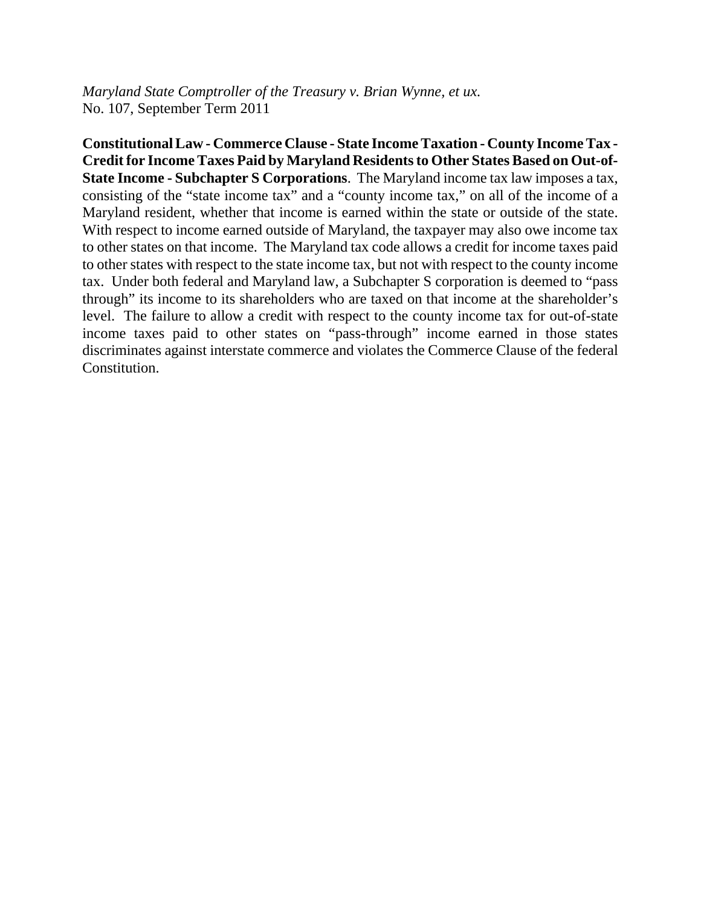*Maryland State Comptroller of the Treasury v. Brian Wynne, et ux.* No. 107, September Term 2011

**Constitutional Law - Commerce Clause - State Income Taxation - County Income Tax - Credit for Income Taxes Paid by Maryland Residents to Other States Based on Out-of-State Income - Subchapter S Corporations**. The Maryland income tax law imposes a tax, consisting of the "state income tax" and a "county income tax," on all of the income of a Maryland resident, whether that income is earned within the state or outside of the state. With respect to income earned outside of Maryland, the taxpayer may also owe income tax to other states on that income. The Maryland tax code allows a credit for income taxes paid to other states with respect to the state income tax, but not with respect to the county income tax. Under both federal and Maryland law, a Subchapter S corporation is deemed to "pass through" its income to its shareholders who are taxed on that income at the shareholder's level. The failure to allow a credit with respect to the county income tax for out-of-state income taxes paid to other states on "pass-through" income earned in those states discriminates against interstate commerce and violates the Commerce Clause of the federal Constitution.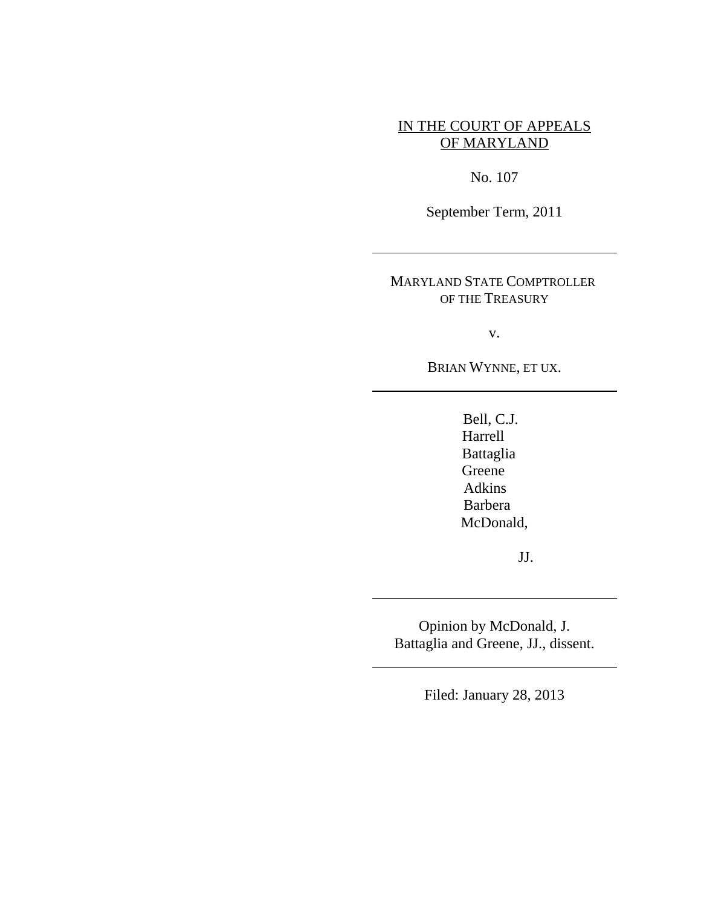# IN THE COURT OF APPEALS OF MARYLAND

No. 107

September Term, 2011

MARYLAND STATE COMPTROLLER OF THE TREASURY

 $\overline{a}$ 

 $\ddot{\phantom{a}}$ 

 $\ddot{\phantom{a}}$ 

 $\overline{a}$ 

v.

BRIAN WYNNE, ET UX.

Bell, C.J. Harrell Battaglia Greene Adkins Barbera McDonald,

JJ.

Opinion by McDonald, J. Battaglia and Greene, JJ., dissent.

Filed: January 28, 2013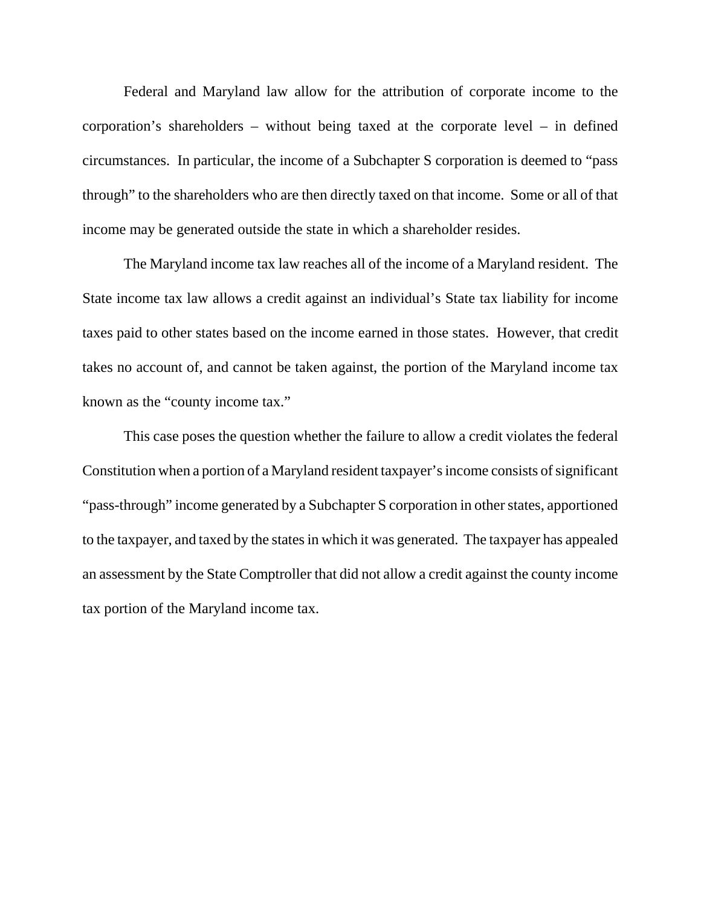Federal and Maryland law allow for the attribution of corporate income to the corporation's shareholders – without being taxed at the corporate level – in defined circumstances. In particular, the income of a Subchapter S corporation is deemed to "pass through" to the shareholders who are then directly taxed on that income. Some or all of that income may be generated outside the state in which a shareholder resides.

The Maryland income tax law reaches all of the income of a Maryland resident. The State income tax law allows a credit against an individual's State tax liability for income taxes paid to other states based on the income earned in those states. However, that credit takes no account of, and cannot be taken against, the portion of the Maryland income tax known as the "county income tax."

This case poses the question whether the failure to allow a credit violates the federal Constitution when a portion of a Maryland resident taxpayer's income consists of significant "pass-through" income generated by a Subchapter S corporation in other states, apportioned to the taxpayer, and taxed by the states in which it was generated. The taxpayer has appealed an assessment by the State Comptroller that did not allow a credit against the county income tax portion of the Maryland income tax.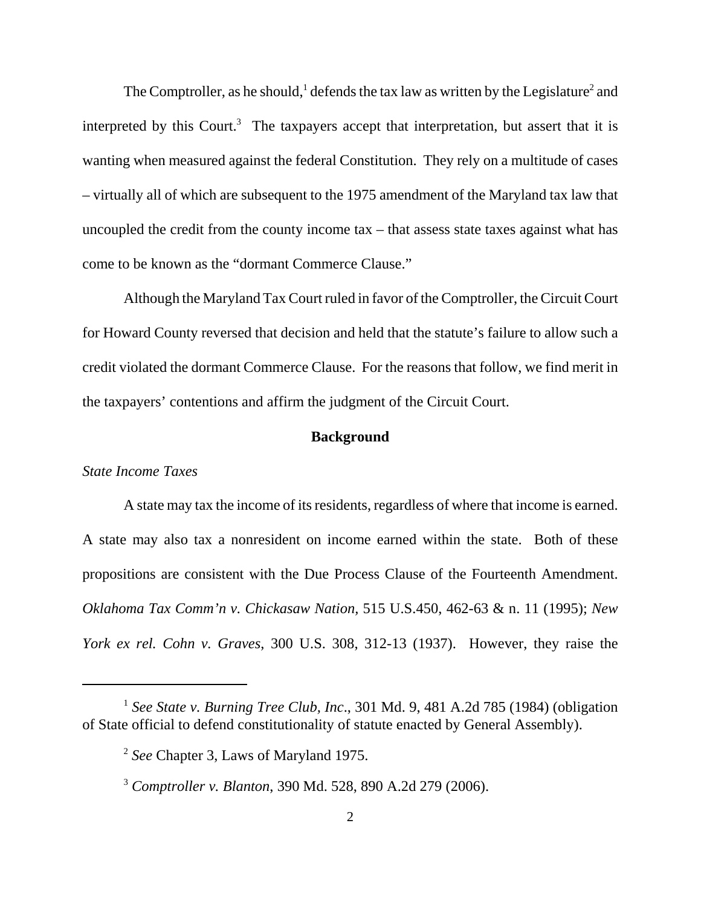The Comptroller, as he should, $<sup>1</sup>$  defends the tax law as written by the Legislature<sup>2</sup> and</sup> interpreted by this Court.<sup>3</sup> The taxpayers accept that interpretation, but assert that it is wanting when measured against the federal Constitution. They rely on a multitude of cases – virtually all of which are subsequent to the 1975 amendment of the Maryland tax law that uncoupled the credit from the county income tax – that assess state taxes against what has come to be known as the "dormant Commerce Clause."

Although the Maryland Tax Court ruled in favor of the Comptroller, the Circuit Court for Howard County reversed that decision and held that the statute's failure to allow such a credit violated the dormant Commerce Clause. For the reasons that follow, we find merit in the taxpayers' contentions and affirm the judgment of the Circuit Court.

### **Background**

#### *State Income Taxes*

A state may tax the income of its residents, regardless of where that income is earned. A state may also tax a nonresident on income earned within the state. Both of these propositions are consistent with the Due Process Clause of the Fourteenth Amendment. *Oklahoma Tax Comm'n v. Chickasaw Nation,* 515 U.S.450, 462-63 & n. 11 (1995); *New York ex rel. Cohn v. Graves*, 300 U.S. 308, 312-13 (1937). However, they raise the

<sup>1</sup> *See State v. Burning Tree Club, Inc*., 301 Md. 9, 481 A.2d 785 (1984) (obligation of State official to defend constitutionality of statute enacted by General Assembly).

<sup>2</sup> *See* Chapter 3, Laws of Maryland 1975.

<sup>3</sup> *Comptroller v. Blanton*, 390 Md. 528, 890 A.2d 279 (2006).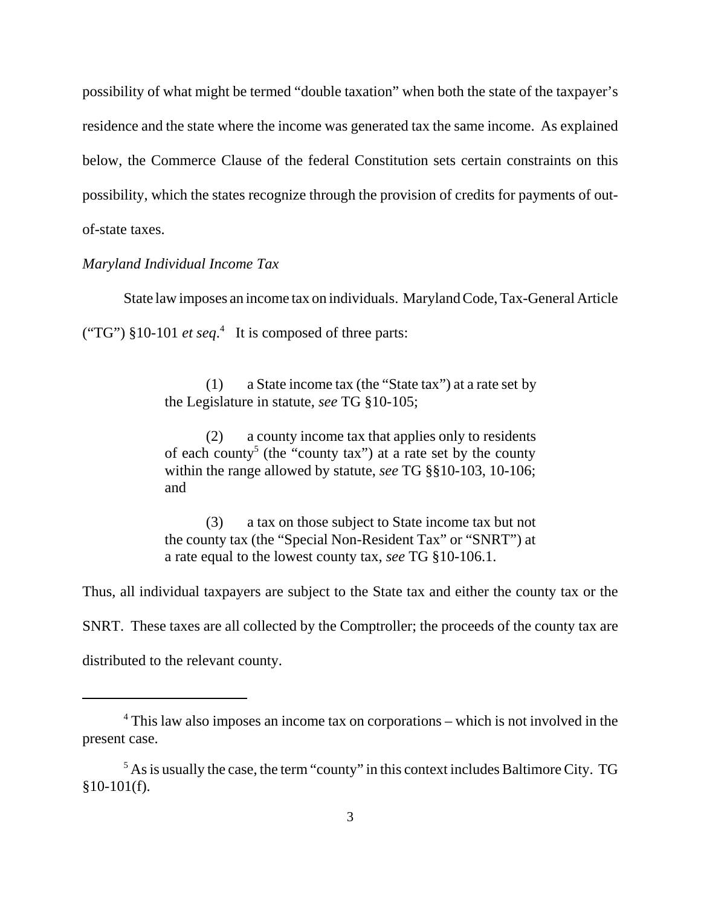possibility of what might be termed "double taxation" when both the state of the taxpayer's residence and the state where the income was generated tax the same income. As explained below, the Commerce Clause of the federal Constitution sets certain constraints on this possibility, which the states recognize through the provision of credits for payments of outof-state taxes.

*Maryland Individual Income Tax* 

State law imposes an income tax on individuals. Maryland Code, Tax-General Article ("TG")  $§10-101$  *et seq*.<sup>4</sup> It is composed of three parts:

> (1) a State income tax (the "State tax") at a rate set by the Legislature in statute, *see* TG §10-105;

> (2) a county income tax that applies only to residents of each county<sup>5</sup> (the "county tax") at a rate set by the county within the range allowed by statute, *see* TG §§10-103, 10-106; and

> (3) a tax on those subject to State income tax but not the county tax (the "Special Non-Resident Tax" or "SNRT") at a rate equal to the lowest county tax, *see* TG §10-106.1.

Thus, all individual taxpayers are subject to the State tax and either the county tax or the

SNRT. These taxes are all collected by the Comptroller; the proceeds of the county tax are

distributed to the relevant county.

<sup>&</sup>lt;sup>4</sup> This law also imposes an income tax on corporations – which is not involved in the present case.

 $<sup>5</sup>$  As is usually the case, the term "county" in this context includes Baltimore City. TG</sup>  $$10-101(f).$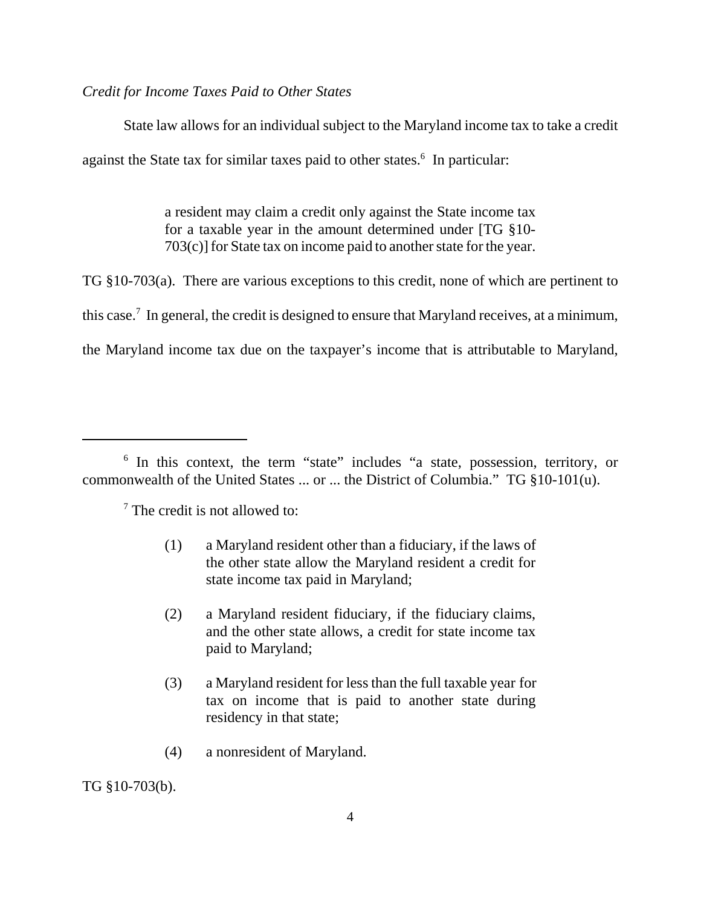## *Credit for Income Taxes Paid to Other States*

State law allows for an individual subject to the Maryland income tax to take a credit against the State tax for similar taxes paid to other states.<sup>6</sup> In particular:

> a resident may claim a credit only against the State income tax for a taxable year in the amount determined under [TG §10- 703(c)] for State tax on income paid to another state for the year.

TG §10-703(a). There are various exceptions to this credit, none of which are pertinent to this case.<sup>7</sup> In general, the credit is designed to ensure that Maryland receives, at a minimum, the Maryland income tax due on the taxpayer's income that is attributable to Maryland,

<sup>7</sup> The credit is not allowed to:

- (1) a Maryland resident other than a fiduciary, if the laws of the other state allow the Maryland resident a credit for state income tax paid in Maryland;
- (2) a Maryland resident fiduciary, if the fiduciary claims, and the other state allows, a credit for state income tax paid to Maryland;
- (3) a Maryland resident for less than the full taxable year for tax on income that is paid to another state during residency in that state;
- (4) a nonresident of Maryland.

TG §10-703(b).

<sup>&</sup>lt;sup>6</sup> In this context, the term "state" includes "a state, possession, territory, or commonwealth of the United States ... or ... the District of Columbia." TG §10-101(u).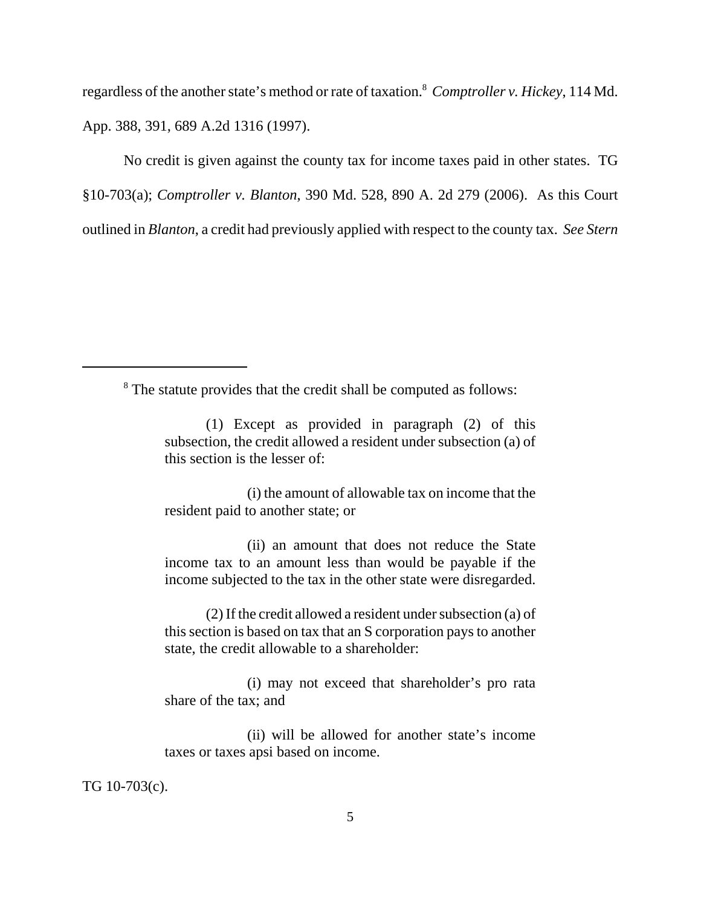regardless of the another state's method or rate of taxation.8 *Comptroller v. Hickey*, 114 Md. App. 388, 391, 689 A.2d 1316 (1997).

No credit is given against the county tax for income taxes paid in other states. TG §10-703(a); *Comptroller v. Blanton*, 390 Md. 528, 890 A. 2d 279 (2006). As this Court outlined in *Blanton*, a credit had previously applied with respect to the county tax. *See Stern*

<sup>8</sup> The statute provides that the credit shall be computed as follows:

(i) the amount of allowable tax on income that the resident paid to another state; or

(ii) an amount that does not reduce the State income tax to an amount less than would be payable if the income subjected to the tax in the other state were disregarded.

(2) If the credit allowed a resident under subsection (a) of this section is based on tax that an S corporation pays to another state, the credit allowable to a shareholder:

(i) may not exceed that shareholder's pro rata share of the tax; and

(ii) will be allowed for another state's income taxes or taxes apsi based on income.

TG 10-703(c).

<sup>(1)</sup> Except as provided in paragraph (2) of this subsection, the credit allowed a resident under subsection (a) of this section is the lesser of: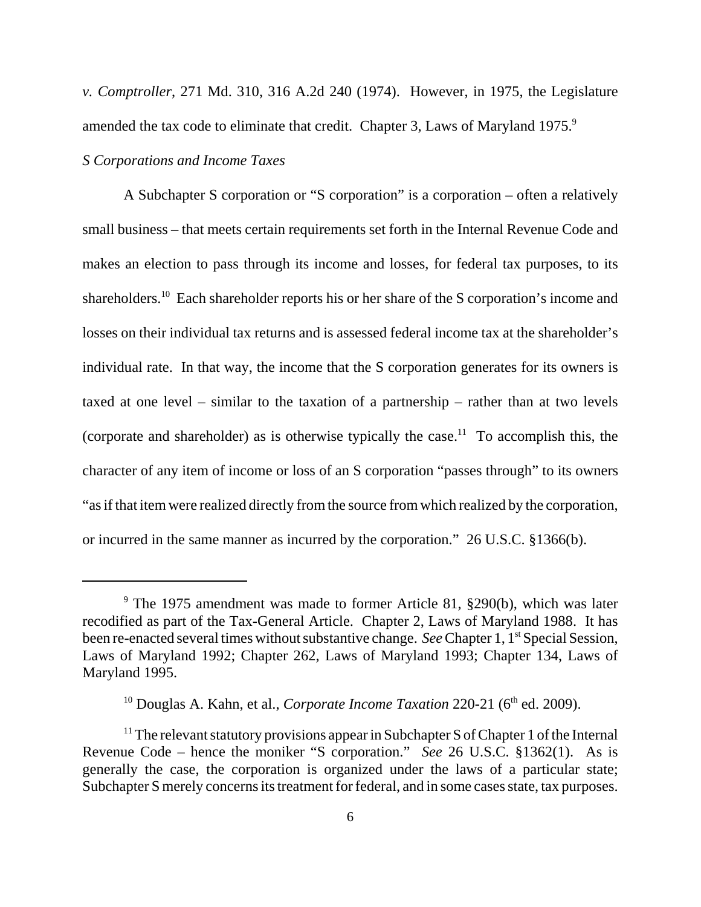*v. Comptroller*, 271 Md. 310, 316 A.2d 240 (1974). However, in 1975, the Legislature amended the tax code to eliminate that credit. Chapter 3, Laws of Maryland 1975.<sup>9</sup>

## *S Corporations and Income Taxes*

A Subchapter S corporation or "S corporation" is a corporation – often a relatively small business – that meets certain requirements set forth in the Internal Revenue Code and makes an election to pass through its income and losses, for federal tax purposes, to its shareholders.10 Each shareholder reports his or her share of the S corporation's income and losses on their individual tax returns and is assessed federal income tax at the shareholder's individual rate. In that way, the income that the S corporation generates for its owners is taxed at one level – similar to the taxation of a partnership – rather than at two levels (corporate and shareholder) as is otherwise typically the case.<sup>11</sup> To accomplish this, the character of any item of income or loss of an S corporation "passes through" to its owners "as if that item were realized directly from the source from which realized by the corporation, or incurred in the same manner as incurred by the corporation." 26 U.S.C. §1366(b).

<sup>&</sup>lt;sup>9</sup> The 1975 amendment was made to former Article 81, §290(b), which was later recodified as part of the Tax-General Article. Chapter 2, Laws of Maryland 1988. It has been re-enacted several times without substantive change. *See* Chapter 1, 1<sup>st</sup> Special Session, Laws of Maryland 1992; Chapter 262, Laws of Maryland 1993; Chapter 134, Laws of Maryland 1995.

<sup>&</sup>lt;sup>10</sup> Douglas A. Kahn, et al., *Corporate Income Taxation* 220-21 ( $6<sup>th</sup>$  ed. 2009).

 $11$  The relevant statutory provisions appear in Subchapter S of Chapter 1 of the Internal Revenue Code – hence the moniker "S corporation." *See* 26 U.S.C. §1362(1). As is generally the case, the corporation is organized under the laws of a particular state; Subchapter S merely concerns its treatment for federal, and in some cases state, tax purposes.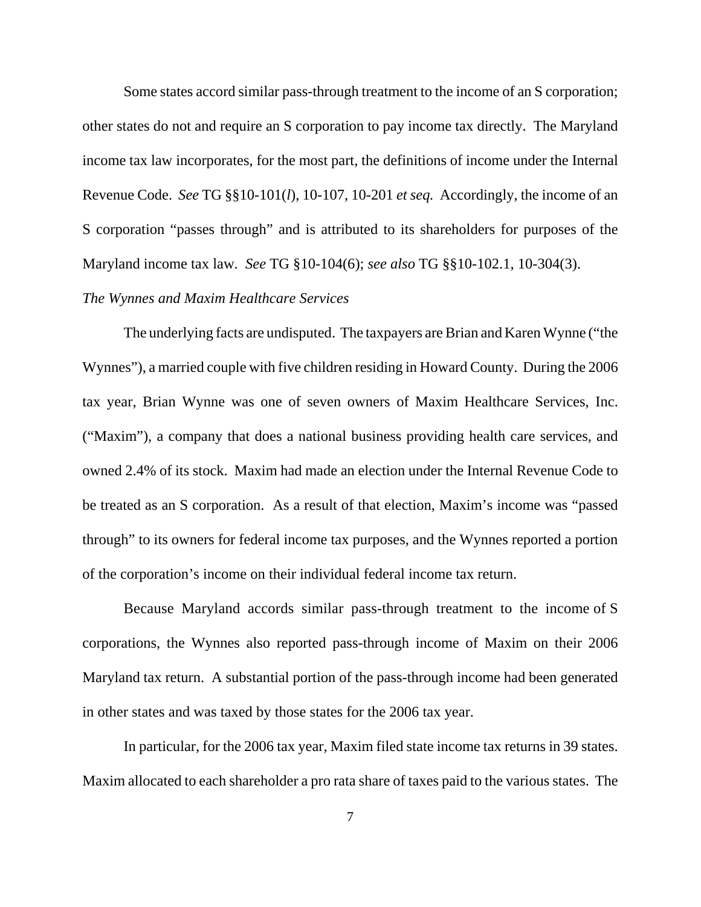Some states accord similar pass-through treatment to the income of an S corporation; other states do not and require an S corporation to pay income tax directly. The Maryland income tax law incorporates, for the most part, the definitions of income under the Internal Revenue Code. *See* TG §§10-101(*l*), 10-107, 10-201 *et seq.* Accordingly, the income of an S corporation "passes through" and is attributed to its shareholders for purposes of the Maryland income tax law. *See* TG §10-104(6); *see also* TG §§10-102.1, 10-304(3).

## *The Wynnes and Maxim Healthcare Services*

The underlying facts are undisputed. The taxpayers are Brian and Karen Wynne ("the Wynnes"), a married couple with five children residing in Howard County. During the 2006 tax year, Brian Wynne was one of seven owners of Maxim Healthcare Services, Inc. ("Maxim"), a company that does a national business providing health care services, and owned 2.4% of its stock. Maxim had made an election under the Internal Revenue Code to be treated as an S corporation. As a result of that election, Maxim's income was "passed through" to its owners for federal income tax purposes, and the Wynnes reported a portion of the corporation's income on their individual federal income tax return.

 Because Maryland accords similar pass-through treatment to the income of S corporations, the Wynnes also reported pass-through income of Maxim on their 2006 Maryland tax return. A substantial portion of the pass-through income had been generated in other states and was taxed by those states for the 2006 tax year.

In particular, for the 2006 tax year, Maxim filed state income tax returns in 39 states. Maxim allocated to each shareholder a pro rata share of taxes paid to the various states. The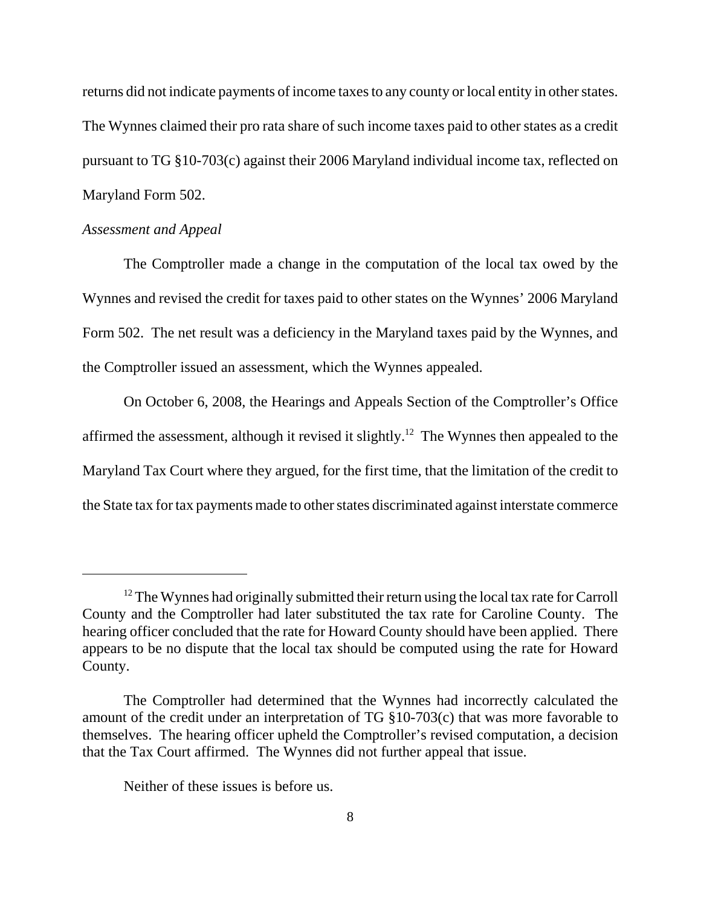returns did not indicate payments of income taxes to any county or local entity in other states. The Wynnes claimed their pro rata share of such income taxes paid to other states as a credit pursuant to TG §10-703(c) against their 2006 Maryland individual income tax, reflected on Maryland Form 502.

#### *Assessment and Appeal*

The Comptroller made a change in the computation of the local tax owed by the Wynnes and revised the credit for taxes paid to other states on the Wynnes' 2006 Maryland Form 502. The net result was a deficiency in the Maryland taxes paid by the Wynnes, and the Comptroller issued an assessment, which the Wynnes appealed.

On October 6, 2008, the Hearings and Appeals Section of the Comptroller's Office affirmed the assessment, although it revised it slightly.<sup>12</sup> The Wynnes then appealed to the Maryland Tax Court where they argued, for the first time, that the limitation of the credit to the State tax for tax payments made to other states discriminated against interstate commerce

Neither of these issues is before us.

<sup>&</sup>lt;sup>12</sup> The Wynnes had originally submitted their return using the local tax rate for Carroll County and the Comptroller had later substituted the tax rate for Caroline County. The hearing officer concluded that the rate for Howard County should have been applied. There appears to be no dispute that the local tax should be computed using the rate for Howard County.

The Comptroller had determined that the Wynnes had incorrectly calculated the amount of the credit under an interpretation of TG §10-703(c) that was more favorable to themselves. The hearing officer upheld the Comptroller's revised computation, a decision that the Tax Court affirmed. The Wynnes did not further appeal that issue.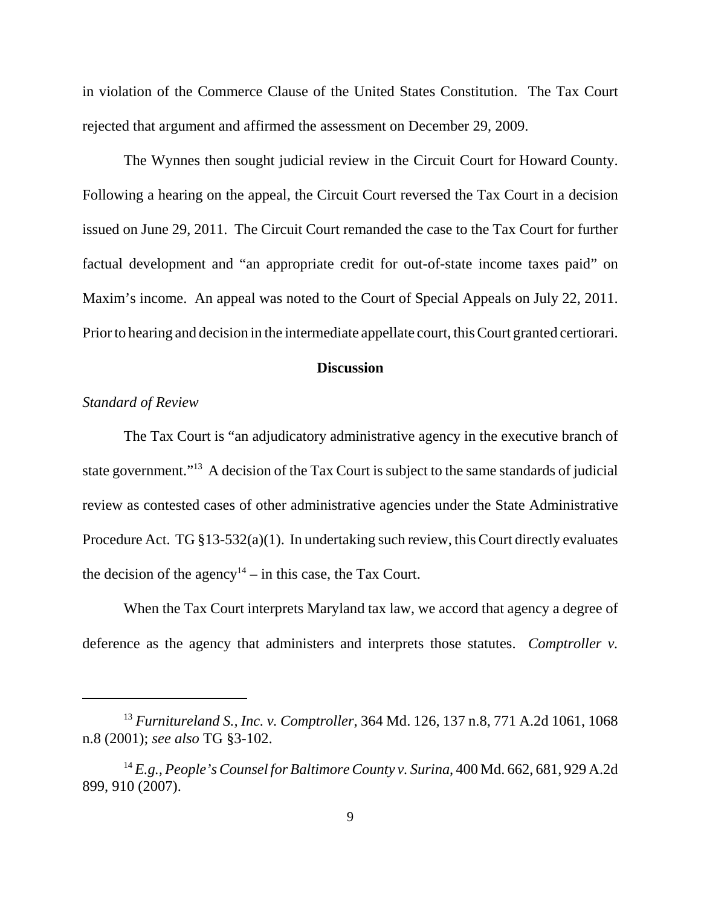in violation of the Commerce Clause of the United States Constitution. The Tax Court rejected that argument and affirmed the assessment on December 29, 2009.

 The Wynnes then sought judicial review in the Circuit Court for Howard County. Following a hearing on the appeal, the Circuit Court reversed the Tax Court in a decision issued on June 29, 2011. The Circuit Court remanded the case to the Tax Court for further factual development and "an appropriate credit for out-of-state income taxes paid" on Maxim's income. An appeal was noted to the Court of Special Appeals on July 22, 2011. Prior to hearing and decision in the intermediate appellate court, this Court granted certiorari.

## **Discussion**

#### *Standard of Review*

The Tax Court is "an adjudicatory administrative agency in the executive branch of state government."13 A decision of the Tax Court is subject to the same standards of judicial review as contested cases of other administrative agencies under the State Administrative Procedure Act. TG §13-532(a)(1). In undertaking such review, this Court directly evaluates the decision of the agency<sup>14</sup> – in this case, the Tax Court.

When the Tax Court interprets Maryland tax law, we accord that agency a degree of deference as the agency that administers and interprets those statutes. *Comptroller v.*

<sup>13</sup> *Furnitureland S., Inc. v. Comptroller*, 364 Md. 126, 137 n.8, 771 A.2d 1061, 1068 n.8 (2001); *see also* TG §3-102.

<sup>14</sup> *E.g., People's Counsel for Baltimore County v. Surina*, 400 Md. 662, 681, 929 A.2d 899, 910 (2007).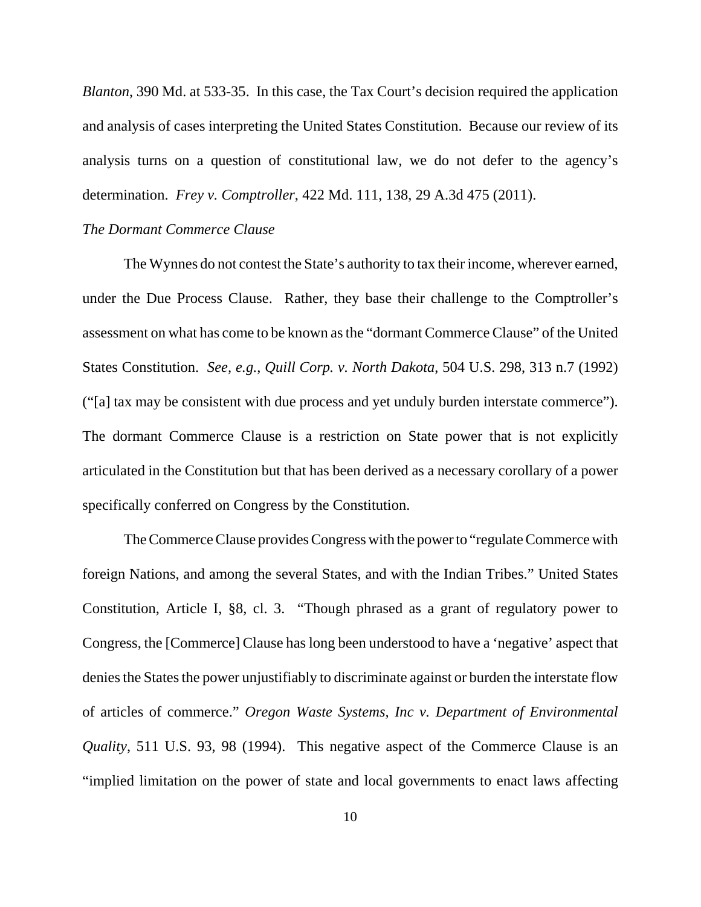*Blanton*, 390 Md. at 533-35. In this case, the Tax Court's decision required the application and analysis of cases interpreting the United States Constitution. Because our review of its analysis turns on a question of constitutional law, we do not defer to the agency's determination. *Frey v. Comptroller*, 422 Md. 111, 138, 29 A.3d 475 (2011).

## *The Dormant Commerce Clause*

The Wynnes do not contest the State's authority to tax their income, wherever earned, under the Due Process Clause. Rather, they base their challenge to the Comptroller's assessment on what has come to be known as the "dormant Commerce Clause" of the United States Constitution. *See, e.g.*, *Quill Corp. v. North Dakota*, 504 U.S. 298, 313 n.7 (1992) ("[a] tax may be consistent with due process and yet unduly burden interstate commerce"). The dormant Commerce Clause is a restriction on State power that is not explicitly articulated in the Constitution but that has been derived as a necessary corollary of a power specifically conferred on Congress by the Constitution.

The Commerce Clause provides Congress with the power to "regulate Commerce with foreign Nations, and among the several States, and with the Indian Tribes." United States Constitution, Article I, §8, cl. 3. "Though phrased as a grant of regulatory power to Congress, the [Commerce] Clause has long been understood to have a 'negative' aspect that denies the States the power unjustifiably to discriminate against or burden the interstate flow of articles of commerce." *Oregon Waste Systems, Inc v. Department of Environmental Quality*, 511 U.S. 93, 98 (1994). This negative aspect of the Commerce Clause is an "implied limitation on the power of state and local governments to enact laws affecting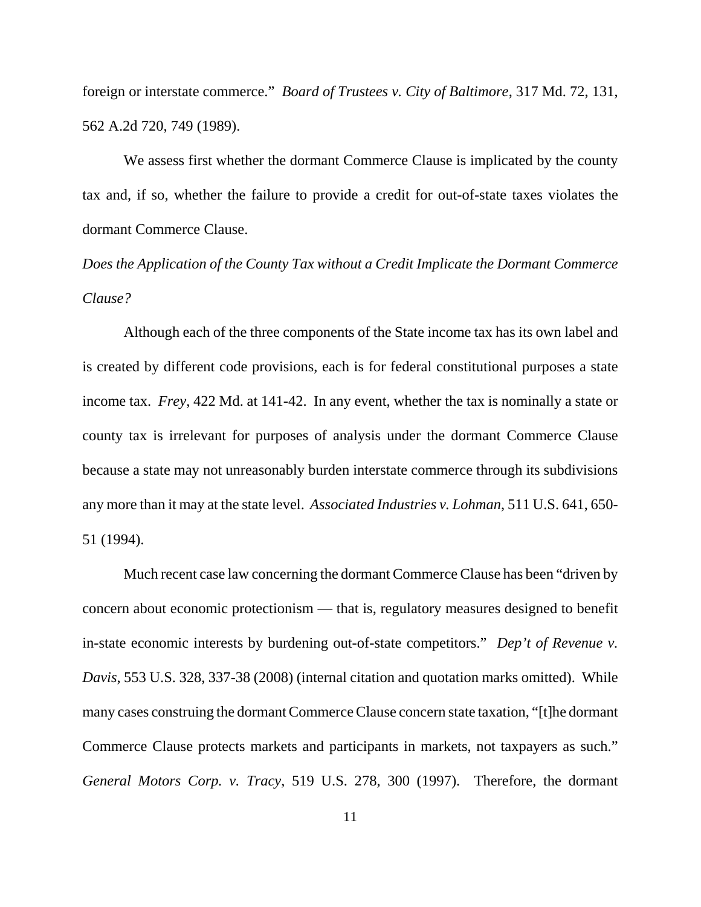foreign or interstate commerce." *Board of Trustees v. City of Baltimore*, 317 Md. 72, 131, 562 A.2d 720, 749 (1989).

We assess first whether the dormant Commerce Clause is implicated by the county tax and, if so, whether the failure to provide a credit for out-of-state taxes violates the dormant Commerce Clause.

*Does the Application of the County Tax without a Credit Implicate the Dormant Commerce Clause?*

Although each of the three components of the State income tax has its own label and is created by different code provisions, each is for federal constitutional purposes a state income tax. *Frey*, 422 Md. at 141-42. In any event, whether the tax is nominally a state or county tax is irrelevant for purposes of analysis under the dormant Commerce Clause because a state may not unreasonably burden interstate commerce through its subdivisions any more than it may at the state level. *Associated Industries v. Lohman*, 511 U.S. 641, 650- 51 (1994).

Much recent case law concerning the dormant Commerce Clause has been "driven by concern about economic protectionism — that is, regulatory measures designed to benefit in-state economic interests by burdening out-of-state competitors." *Dep't of Revenue v. Davis*, 553 U.S. 328, 337-38 (2008) (internal citation and quotation marks omitted). While many cases construing the dormant Commerce Clause concern state taxation, "[t]he dormant Commerce Clause protects markets and participants in markets, not taxpayers as such." *General Motors Corp. v. Tracy*, 519 U.S. 278, 300 (1997). Therefore, the dormant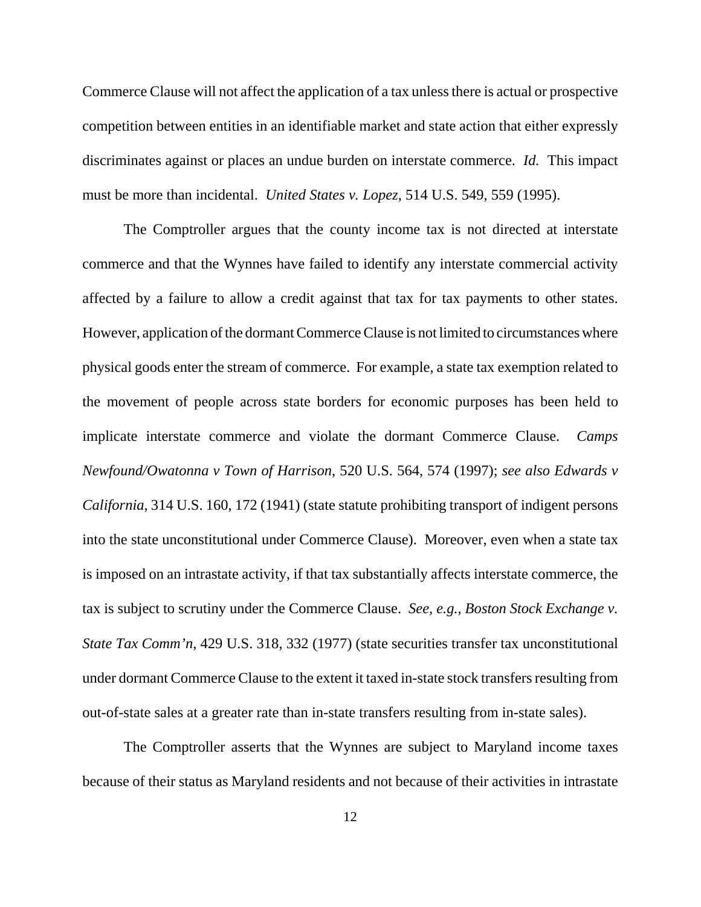Commerce Clause will not affect the application of a tax unless there is actual or prospective competition between entities in an identifiable market and state action that either expressly discriminates against or places an undue burden on interstate commerce. *Id.* This impact must be more than incidental. *United States v. Lopez*, 514 U.S. 549, 559 (1995).

The Comptroller argues that the county income tax is not directed at interstate commerce and that the Wynnes have failed to identify any interstate commercial activity affected by a failure to allow a credit against that tax for tax payments to other states. However, application of the dormant Commerce Clause is not limited to circumstances where physical goods enter the stream of commerce. For example, a state tax exemption related to the movement of people across state borders for economic purposes has been held to implicate interstate commerce and violate the dormant Commerce Clause. *Camps Newfound/Owatonna v Town of Harrison*, 520 U.S. 564, 574 (1997); *see also Edwards v California*, 314 U.S. 160, 172 (1941) (state statute prohibiting transport of indigent persons into the state unconstitutional under Commerce Clause). Moreover, even when a state tax is imposed on an intrastate activity, if that tax substantially affects interstate commerce, the tax is subject to scrutiny under the Commerce Clause. *See, e.g.*, *Boston Stock Exchange v. State Tax Comm'n*, 429 U.S. 318, 332 (1977) (state securities transfer tax unconstitutional under dormant Commerce Clause to the extent it taxed in-state stock transfers resulting from out-of-state sales at a greater rate than in-state transfers resulting from in-state sales).

The Comptroller asserts that the Wynnes are subject to Maryland income taxes because of their status as Maryland residents and not because of their activities in intrastate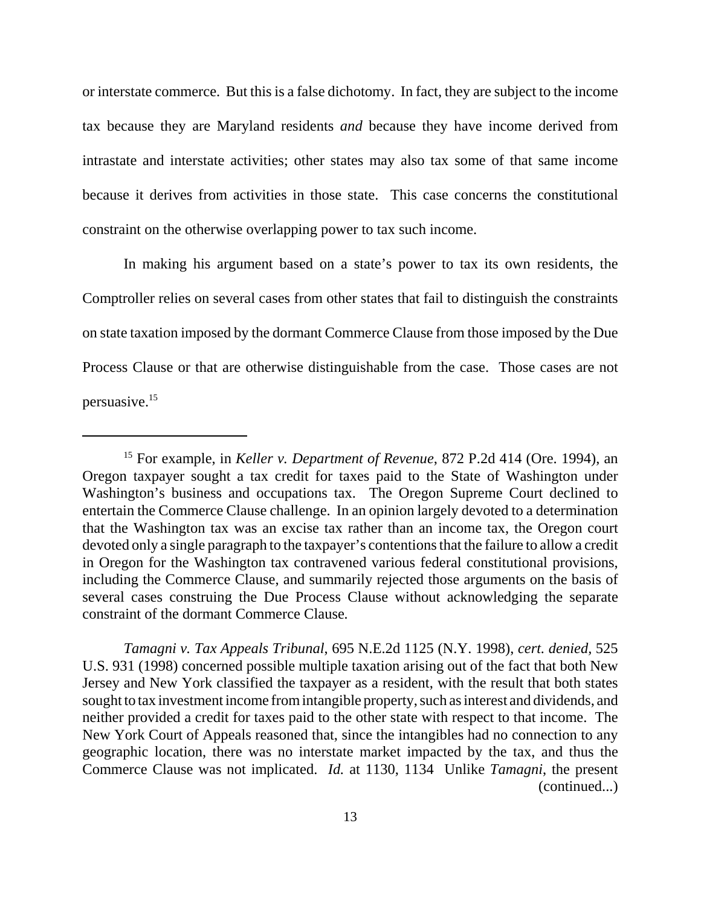or interstate commerce. But this is a false dichotomy. In fact, they are subject to the income tax because they are Maryland residents *and* because they have income derived from intrastate and interstate activities; other states may also tax some of that same income because it derives from activities in those state. This case concerns the constitutional constraint on the otherwise overlapping power to tax such income.

In making his argument based on a state's power to tax its own residents, the Comptroller relies on several cases from other states that fail to distinguish the constraints on state taxation imposed by the dormant Commerce Clause from those imposed by the Due Process Clause or that are otherwise distinguishable from the case. Those cases are not persuasive.15

*Tamagni v. Tax Appeals Tribunal*, 695 N.E.2d 1125 (N.Y. 1998), *cert. denied,* 525 U.S. 931 (1998) concerned possible multiple taxation arising out of the fact that both New Jersey and New York classified the taxpayer as a resident, with the result that both states sought to tax investment income from intangible property, such as interest and dividends, and neither provided a credit for taxes paid to the other state with respect to that income. The New York Court of Appeals reasoned that, since the intangibles had no connection to any geographic location, there was no interstate market impacted by the tax, and thus the Commerce Clause was not implicated. *Id.* at 1130, 1134 Unlike *Tamagni*, the present (continued...)

<sup>15</sup> For example, in *Keller v. Department of Revenue*, 872 P.2d 414 (Ore. 1994), an Oregon taxpayer sought a tax credit for taxes paid to the State of Washington under Washington's business and occupations tax. The Oregon Supreme Court declined to entertain the Commerce Clause challenge. In an opinion largely devoted to a determination that the Washington tax was an excise tax rather than an income tax, the Oregon court devoted only a single paragraph to the taxpayer's contentions that the failure to allow a credit in Oregon for the Washington tax contravened various federal constitutional provisions, including the Commerce Clause, and summarily rejected those arguments on the basis of several cases construing the Due Process Clause without acknowledging the separate constraint of the dormant Commerce Clause*.*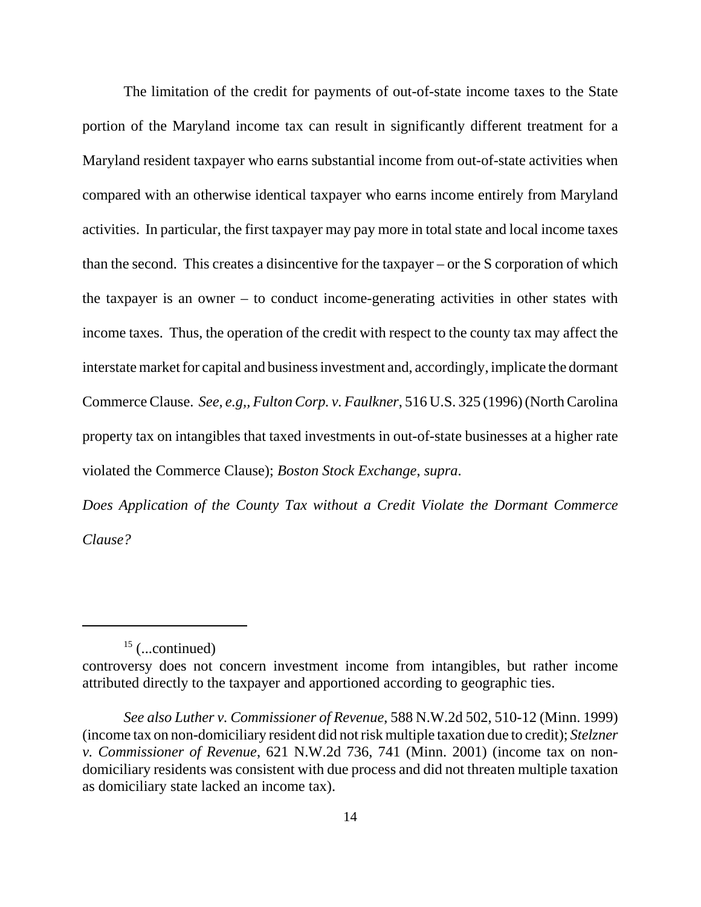The limitation of the credit for payments of out-of-state income taxes to the State portion of the Maryland income tax can result in significantly different treatment for a Maryland resident taxpayer who earns substantial income from out-of-state activities when compared with an otherwise identical taxpayer who earns income entirely from Maryland activities. In particular, the first taxpayer may pay more in total state and local income taxes than the second. This creates a disincentive for the taxpayer – or the S corporation of which the taxpayer is an owner – to conduct income-generating activities in other states with income taxes. Thus, the operation of the credit with respect to the county tax may affect the interstate market for capital and business investment and, accordingly, implicate the dormant Commerce Clause. *See, e.g,, Fulton Corp. v. Faulkner*, 516 U.S. 325 (1996) (North Carolina property tax on intangibles that taxed investments in out-of-state businesses at a higher rate violated the Commerce Clause); *Boston Stock Exchange*, *supra*.

*Does Application of the County Tax without a Credit Violate the Dormant Commerce Clause?*

 $15$  (...continued)

controversy does not concern investment income from intangibles, but rather income attributed directly to the taxpayer and apportioned according to geographic ties.

*See also Luther v. Commissioner of Revenue*, 588 N.W.2d 502, 510-12 (Minn. 1999) (income tax on non-domiciliary resident did not risk multiple taxation due to credit); *Stelzner v. Commissioner of Revenue*, 621 N.W.2d 736, 741 (Minn. 2001) (income tax on nondomiciliary residents was consistent with due process and did not threaten multiple taxation as domiciliary state lacked an income tax).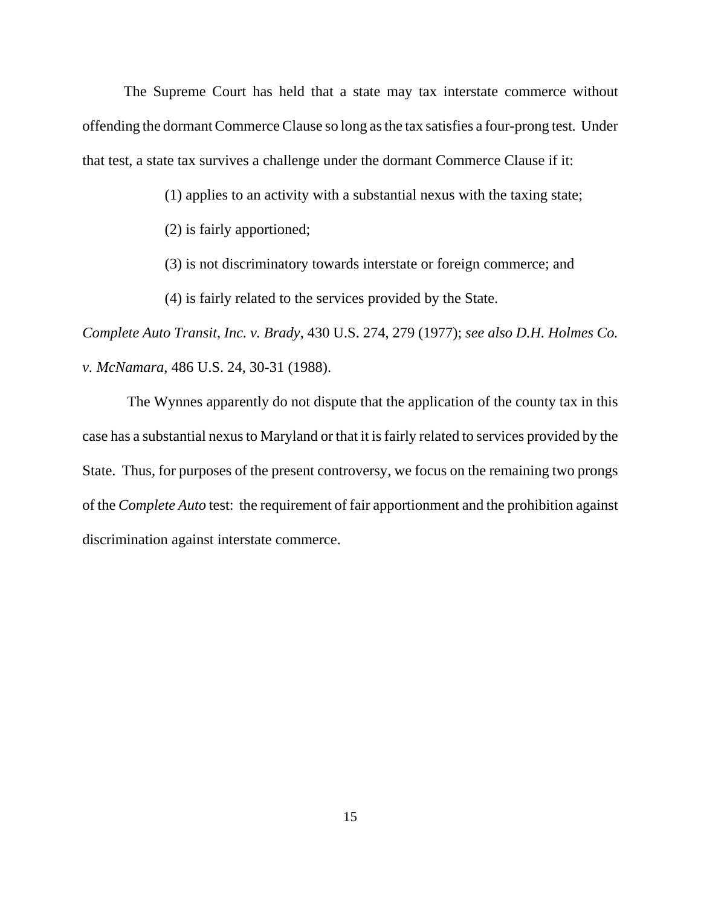The Supreme Court has held that a state may tax interstate commerce without offending the dormant Commerce Clause so long as the tax satisfies a four-prong test*.* Under that test, a state tax survives a challenge under the dormant Commerce Clause if it:

(1) applies to an activity with a substantial nexus with the taxing state;

(2) is fairly apportioned;

(3) is not discriminatory towards interstate or foreign commerce; and

(4) is fairly related to the services provided by the State.

*Complete Auto Transit, Inc. v. Brady*, 430 U.S. 274, 279 (1977); *see also D.H. Holmes Co. v. McNamara*, 486 U.S. 24, 30-31 (1988).

 The Wynnes apparently do not dispute that the application of the county tax in this case has a substantial nexus to Maryland or that it is fairly related to services provided by the State. Thus, for purposes of the present controversy, we focus on the remaining two prongs of the *Complete Auto* test: the requirement of fair apportionment and the prohibition against discrimination against interstate commerce.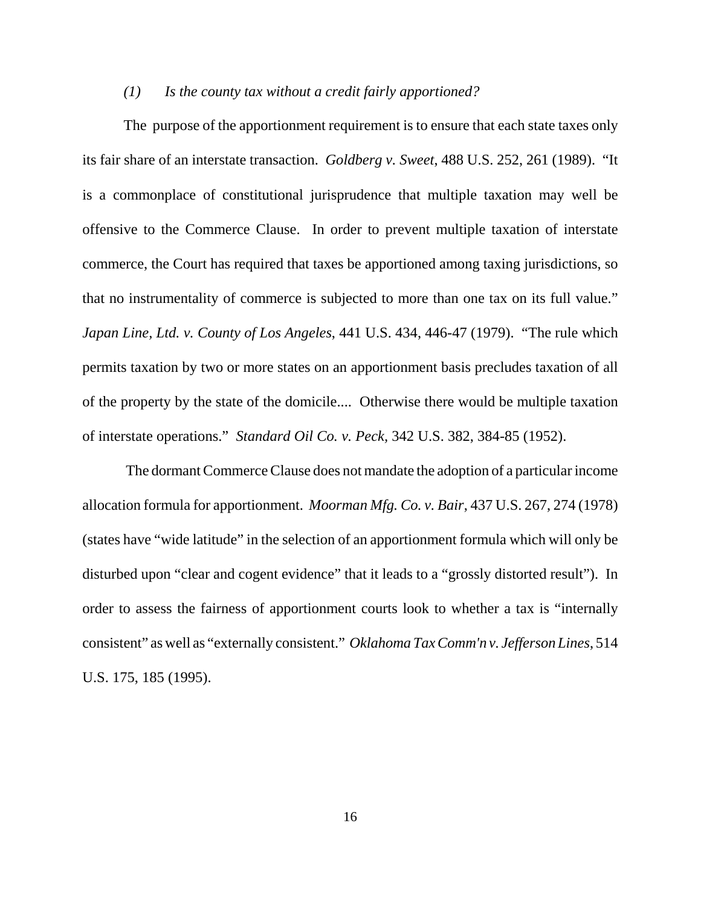#### *(1) Is the county tax without a credit fairly apportioned?*

The purpose of the apportionment requirement is to ensure that each state taxes only its fair share of an interstate transaction. *Goldberg v. Sweet*, 488 U.S. 252, 261 (1989). "It is a commonplace of constitutional jurisprudence that multiple taxation may well be offensive to the Commerce Clause. In order to prevent multiple taxation of interstate commerce, the Court has required that taxes be apportioned among taxing jurisdictions, so that no instrumentality of commerce is subjected to more than one tax on its full value." *Japan Line, Ltd. v. County of Los Angeles*, 441 U.S. 434, 446-47 (1979). "The rule which permits taxation by two or more states on an apportionment basis precludes taxation of all of the property by the state of the domicile.... Otherwise there would be multiple taxation of interstate operations." *Standard Oil Co. v. Peck,* 342 U.S. 382, 384-85 (1952).

 The dormant Commerce Clause does not mandate the adoption of a particular income allocation formula for apportionment. *Moorman Mfg. Co. v. Bair*, 437 U.S. 267, 274 (1978) (states have "wide latitude" in the selection of an apportionment formula which will only be disturbed upon "clear and cogent evidence" that it leads to a "grossly distorted result"). In order to assess the fairness of apportionment courts look to whether a tax is "internally consistent" as well as "externally consistent." *Oklahoma Tax Comm'n v. Jefferson Lines*, 514 U.S. 175, 185 (1995).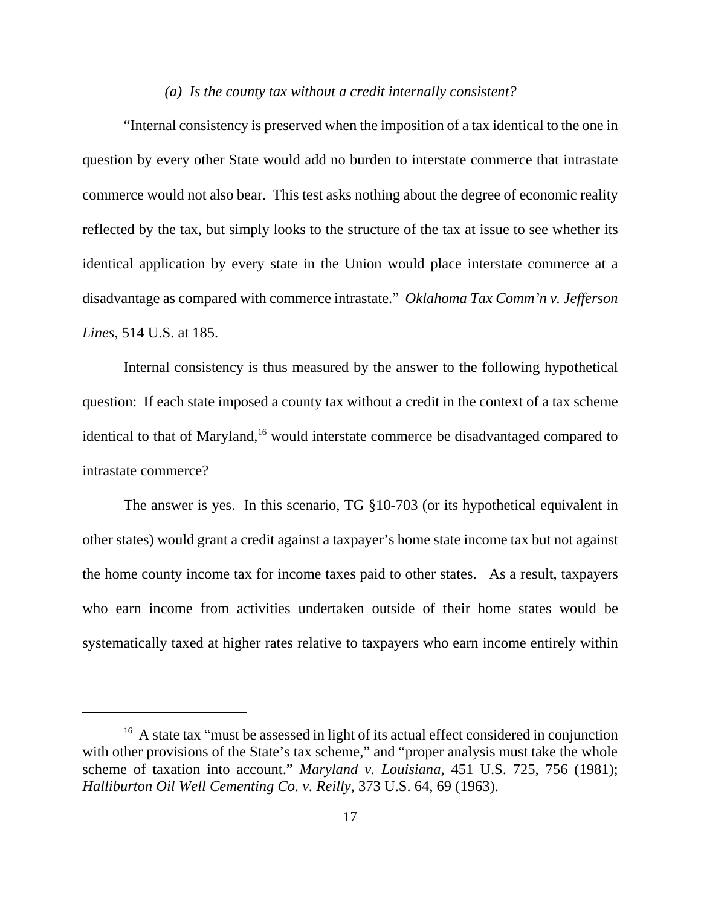#### *(a) Is the county tax without a credit internally consistent?*

"Internal consistency is preserved when the imposition of a tax identical to the one in question by every other State would add no burden to interstate commerce that intrastate commerce would not also bear. This test asks nothing about the degree of economic reality reflected by the tax, but simply looks to the structure of the tax at issue to see whether its identical application by every state in the Union would place interstate commerce at a disadvantage as compared with commerce intrastate." *Oklahoma Tax Comm'n v. Jefferson Lines*, 514 U.S. at 185.

Internal consistency is thus measured by the answer to the following hypothetical question: If each state imposed a county tax without a credit in the context of a tax scheme identical to that of Maryland,<sup>16</sup> would interstate commerce be disadvantaged compared to intrastate commerce?

The answer is yes. In this scenario, TG §10-703 (or its hypothetical equivalent in other states) would grant a credit against a taxpayer's home state income tax but not against the home county income tax for income taxes paid to other states. As a result, taxpayers who earn income from activities undertaken outside of their home states would be systematically taxed at higher rates relative to taxpayers who earn income entirely within

<sup>&</sup>lt;sup>16</sup> A state tax "must be assessed in light of its actual effect considered in conjunction with other provisions of the State's tax scheme," and "proper analysis must take the whole scheme of taxation into account." *Maryland v. Louisiana*, 451 U.S. 725, 756 (1981); *Halliburton Oil Well Cementing Co. v. Reilly*, 373 U.S. 64, 69 (1963).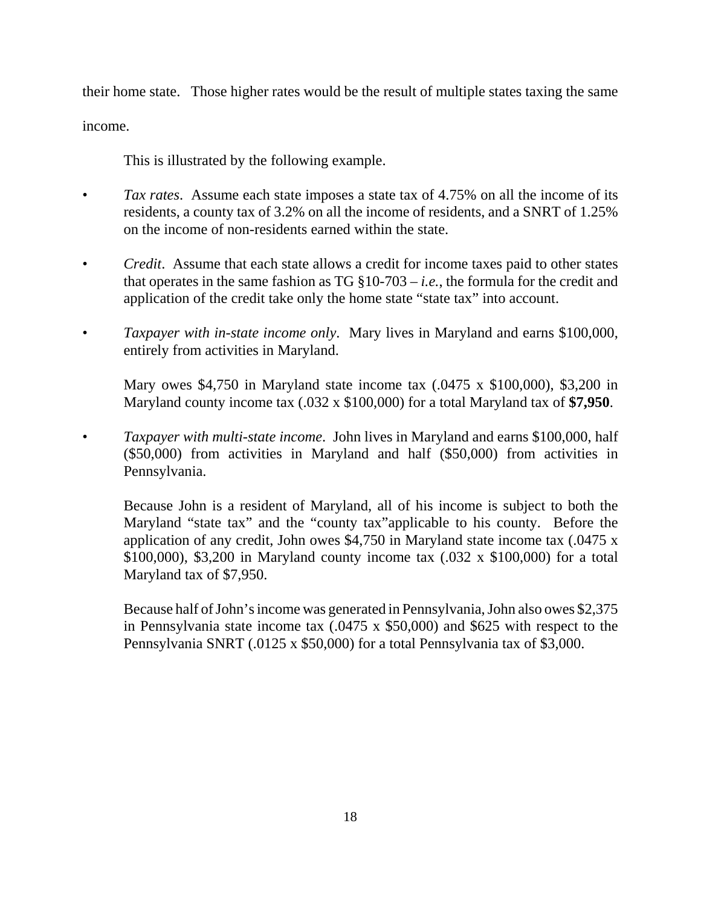their home state. Those higher rates would be the result of multiple states taxing the same income.

This is illustrated by the following example.

- *Tax rates*. Assume each state imposes a state tax of 4.75% on all the income of its residents, a county tax of 3.2% on all the income of residents, and a SNRT of 1.25% on the income of non-residents earned within the state.
- *Credit*. Assume that each state allows a credit for income taxes paid to other states that operates in the same fashion as TG  $\S 10-703 - i.e.,$  the formula for the credit and application of the credit take only the home state "state tax" into account.
- *Taxpayer with in-state income only*. Mary lives in Maryland and earns \$100,000, entirely from activities in Maryland.

Mary owes \$4,750 in Maryland state income tax (.0475 x \$100,000), \$3,200 in Maryland county income tax (.032 x \$100,000) for a total Maryland tax of **\$7,950**.

• *Taxpayer with multi-state income*. John lives in Maryland and earns \$100,000, half (\$50,000) from activities in Maryland and half (\$50,000) from activities in Pennsylvania.

Because John is a resident of Maryland, all of his income is subject to both the Maryland "state tax" and the "county tax"applicable to his county. Before the application of any credit, John owes \$4,750 in Maryland state income tax (.0475 x \$100,000), \$3,200 in Maryland county income tax (.032 x \$100,000) for a total Maryland tax of \$7,950.

Because half of John's income was generated in Pennsylvania, John also owes \$2,375 in Pennsylvania state income tax (.0475 x \$50,000) and \$625 with respect to the Pennsylvania SNRT (.0125 x \$50,000) for a total Pennsylvania tax of \$3,000.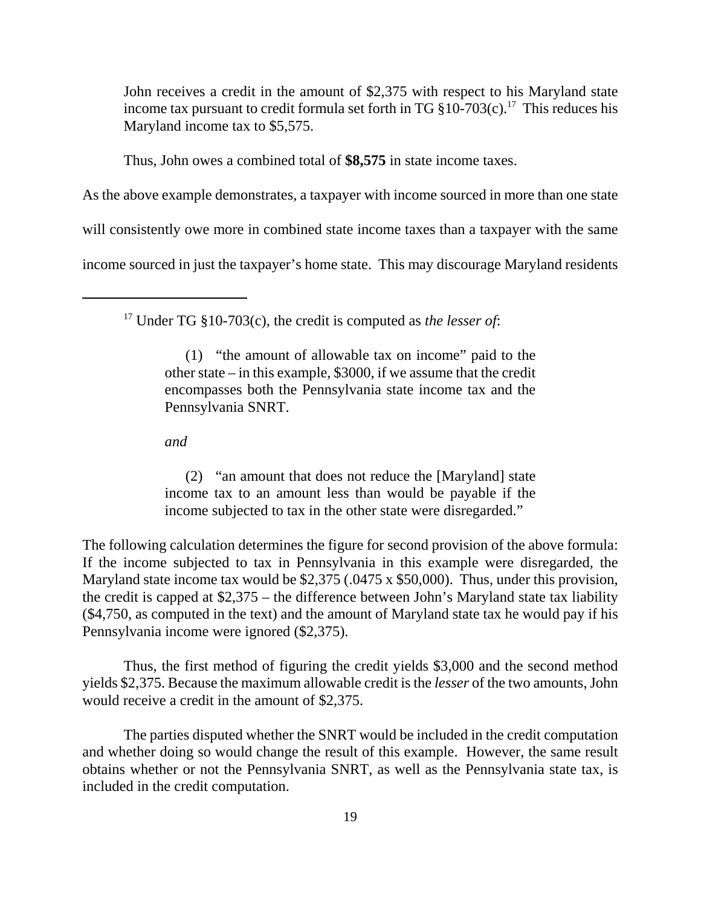John receives a credit in the amount of \$2,375 with respect to his Maryland state income tax pursuant to credit formula set forth in TG  $\S 10$ -703(c).<sup>17</sup> This reduces his Maryland income tax to \$5,575.

Thus, John owes a combined total of **\$8,575** in state income taxes.

As the above example demonstrates, a taxpayer with income sourced in more than one state

will consistently owe more in combined state income taxes than a taxpayer with the same

income sourced in just the taxpayer's home state. This may discourage Maryland residents

(1) "the amount of allowable tax on income" paid to the other state – in this example, \$3000, if we assume that the credit encompasses both the Pennsylvania state income tax and the Pennsylvania SNRT.

*and*

(2) "an amount that does not reduce the [Maryland] state income tax to an amount less than would be payable if the income subjected to tax in the other state were disregarded."

The following calculation determines the figure for second provision of the above formula: If the income subjected to tax in Pennsylvania in this example were disregarded, the Maryland state income tax would be \$2,375 (.0475 x \$50,000). Thus, under this provision, the credit is capped at \$2,375 – the difference between John's Maryland state tax liability (\$4,750, as computed in the text) and the amount of Maryland state tax he would pay if his Pennsylvania income were ignored (\$2,375).

Thus, the first method of figuring the credit yields \$3,000 and the second method yields \$2,375. Because the maximum allowable credit is the *lesser* of the two amounts, John would receive a credit in the amount of \$2,375.

The parties disputed whether the SNRT would be included in the credit computation and whether doing so would change the result of this example. However, the same result obtains whether or not the Pennsylvania SNRT, as well as the Pennsylvania state tax, is included in the credit computation.

<sup>17</sup> Under TG §10-703(c), the credit is computed as *the lesser of*: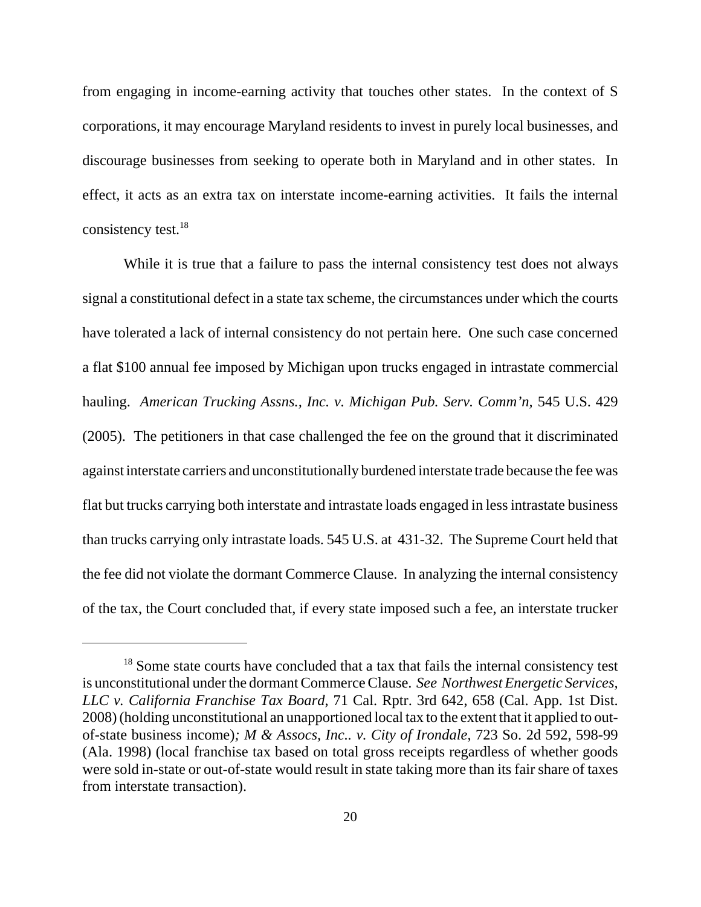from engaging in income-earning activity that touches other states. In the context of S corporations, it may encourage Maryland residents to invest in purely local businesses, and discourage businesses from seeking to operate both in Maryland and in other states. In effect, it acts as an extra tax on interstate income-earning activities. It fails the internal consistency test.18

While it is true that a failure to pass the internal consistency test does not always signal a constitutional defect in a state tax scheme, the circumstances under which the courts have tolerated a lack of internal consistency do not pertain here. One such case concerned a flat \$100 annual fee imposed by Michigan upon trucks engaged in intrastate commercial hauling. *American Trucking Assns., Inc. v. Michigan Pub. Serv. Comm'n,* 545 U.S. 429 (2005). The petitioners in that case challenged the fee on the ground that it discriminated against interstate carriers and unconstitutionally burdened interstate trade because the fee was flat but trucks carrying both interstate and intrastate loads engaged in less intrastate business than trucks carrying only intrastate loads. 545 U.S. at 431-32. The Supreme Court held that the fee did not violate the dormant Commerce Clause. In analyzing the internal consistency of the tax, the Court concluded that, if every state imposed such a fee, an interstate trucker

<sup>&</sup>lt;sup>18</sup> Some state courts have concluded that a tax that fails the internal consistency test is unconstitutional under the dormant Commerce Clause. *See Northwest Energetic Services, LLC v. California Franchise Tax Board*, 71 Cal. Rptr. 3rd 642, 658 (Cal. App. 1st Dist. 2008) (holding unconstitutional an unapportioned local tax to the extent that it applied to outof-state business income)*; M & Assocs, Inc.. v. City of Irondale*, 723 So. 2d 592, 598-99 (Ala. 1998) (local franchise tax based on total gross receipts regardless of whether goods were sold in-state or out-of-state would result in state taking more than its fair share of taxes from interstate transaction).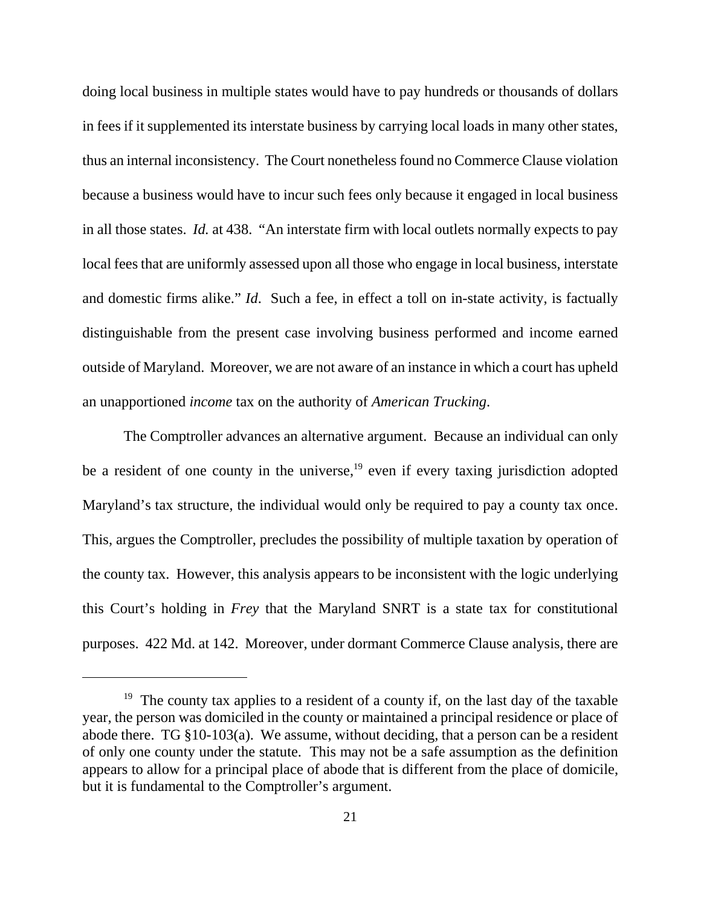doing local business in multiple states would have to pay hundreds or thousands of dollars in fees if it supplemented its interstate business by carrying local loads in many other states, thus an internal inconsistency. The Court nonetheless found no Commerce Clause violation because a business would have to incur such fees only because it engaged in local business in all those states. *Id.* at 438. "An interstate firm with local outlets normally expects to pay local fees that are uniformly assessed upon all those who engage in local business, interstate and domestic firms alike." *Id*. Such a fee, in effect a toll on in-state activity, is factually distinguishable from the present case involving business performed and income earned outside of Maryland. Moreover, we are not aware of an instance in which a court has upheld an unapportioned *income* tax on the authority of *American Trucking*.

The Comptroller advances an alternative argument. Because an individual can only be a resident of one county in the universe,<sup>19</sup> even if every taxing jurisdiction adopted Maryland's tax structure, the individual would only be required to pay a county tax once. This, argues the Comptroller, precludes the possibility of multiple taxation by operation of the county tax. However, this analysis appears to be inconsistent with the logic underlying this Court's holding in *Frey* that the Maryland SNRT is a state tax for constitutional purposes. 422 Md. at 142. Moreover, under dormant Commerce Clause analysis, there are

 $19$  The county tax applies to a resident of a county if, on the last day of the taxable year, the person was domiciled in the county or maintained a principal residence or place of abode there. TG §10-103(a). We assume, without deciding, that a person can be a resident of only one county under the statute. This may not be a safe assumption as the definition appears to allow for a principal place of abode that is different from the place of domicile, but it is fundamental to the Comptroller's argument.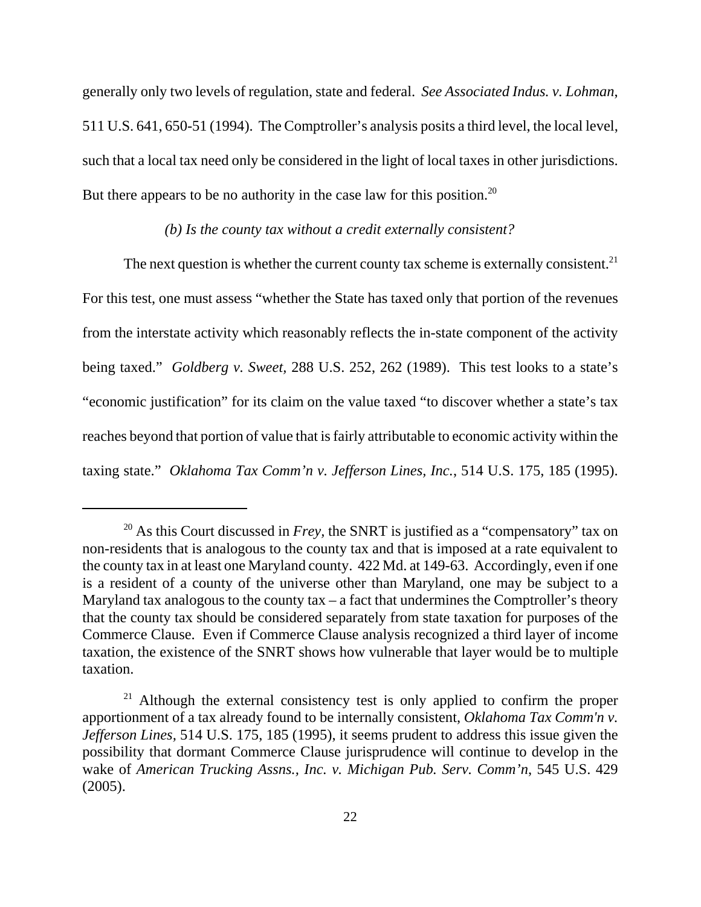generally only two levels of regulation, state and federal. *See Associated Indus. v. Lohman*, 511 U.S. 641, 650-51 (1994). The Comptroller's analysis posits a third level, the local level, such that a local tax need only be considered in the light of local taxes in other jurisdictions. But there appears to be no authority in the case law for this position.<sup>20</sup>

## *(b) Is the county tax without a credit externally consistent?*

The next question is whether the current county tax scheme is externally consistent.<sup>21</sup> For this test, one must assess "whether the State has taxed only that portion of the revenues from the interstate activity which reasonably reflects the in-state component of the activity being taxed." *Goldberg v. Sweet,* 288 U.S. 252, 262 (1989). This test looks to a state's "economic justification" for its claim on the value taxed "to discover whether a state's tax reaches beyond that portion of value that is fairly attributable to economic activity within the taxing state." *Oklahoma Tax Comm'n v. Jefferson Lines, Inc.*, 514 U.S. 175, 185 (1995).

<sup>&</sup>lt;sup>20</sup> As this Court discussed in *Frey*, the SNRT is justified as a "compensatory" tax on non-residents that is analogous to the county tax and that is imposed at a rate equivalent to the county tax in at least one Maryland county. 422 Md. at 149-63. Accordingly, even if one is a resident of a county of the universe other than Maryland, one may be subject to a Maryland tax analogous to the county tax  $-$  a fact that undermines the Comptroller's theory that the county tax should be considered separately from state taxation for purposes of the Commerce Clause. Even if Commerce Clause analysis recognized a third layer of income taxation, the existence of the SNRT shows how vulnerable that layer would be to multiple taxation.

<sup>&</sup>lt;sup>21</sup> Although the external consistency test is only applied to confirm the proper apportionment of a tax already found to be internally consistent, *Oklahoma Tax Comm'n v. Jefferson Lines,* 514 U.S. 175, 185 (1995), it seems prudent to address this issue given the possibility that dormant Commerce Clause jurisprudence will continue to develop in the wake of *American Trucking Assns., Inc. v. Michigan Pub. Serv. Comm'n*, 545 U.S. 429 (2005).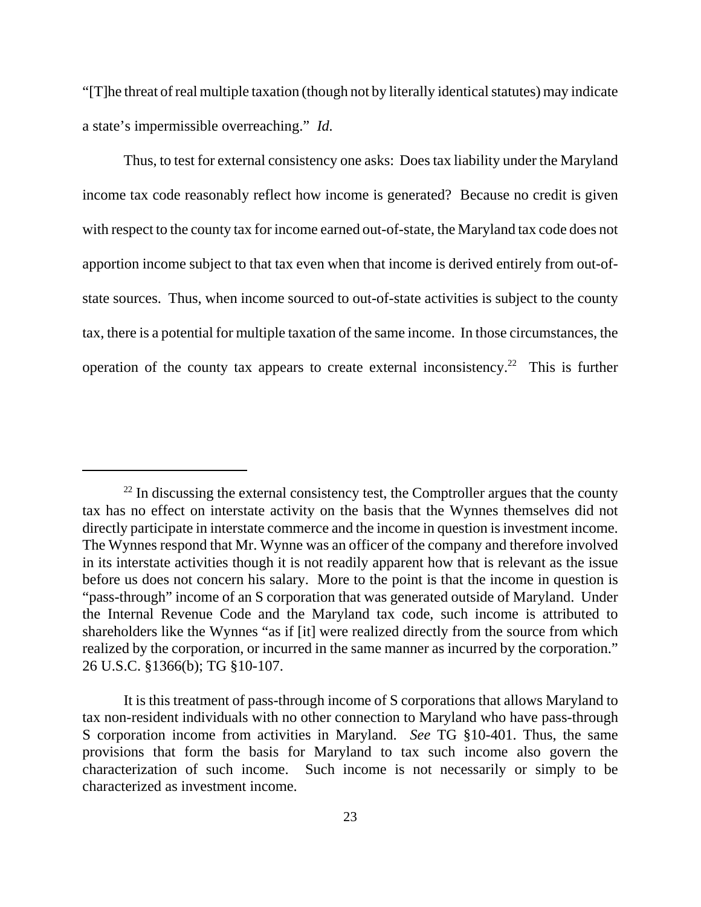"[T]he threat of real multiple taxation (though not by literally identical statutes) may indicate a state's impermissible overreaching." *Id.*

Thus, to test for external consistency one asks: Does tax liability under the Maryland income tax code reasonably reflect how income is generated? Because no credit is given with respect to the county tax for income earned out-of-state, the Maryland tax code does not apportion income subject to that tax even when that income is derived entirely from out-ofstate sources. Thus, when income sourced to out-of-state activities is subject to the county tax, there is a potential for multiple taxation of the same income. In those circumstances, the operation of the county tax appears to create external inconsistency.<sup>22</sup> This is further

 $^{22}$  In discussing the external consistency test, the Comptroller argues that the county tax has no effect on interstate activity on the basis that the Wynnes themselves did not directly participate in interstate commerce and the income in question is investment income. The Wynnes respond that Mr. Wynne was an officer of the company and therefore involved in its interstate activities though it is not readily apparent how that is relevant as the issue before us does not concern his salary. More to the point is that the income in question is "pass-through" income of an S corporation that was generated outside of Maryland. Under the Internal Revenue Code and the Maryland tax code, such income is attributed to shareholders like the Wynnes "as if [it] were realized directly from the source from which realized by the corporation, or incurred in the same manner as incurred by the corporation." 26 U.S.C. §1366(b); TG §10-107.

It is this treatment of pass-through income of S corporations that allows Maryland to tax non-resident individuals with no other connection to Maryland who have pass-through S corporation income from activities in Maryland. *See* TG §10-401. Thus, the same provisions that form the basis for Maryland to tax such income also govern the characterization of such income. Such income is not necessarily or simply to be characterized as investment income.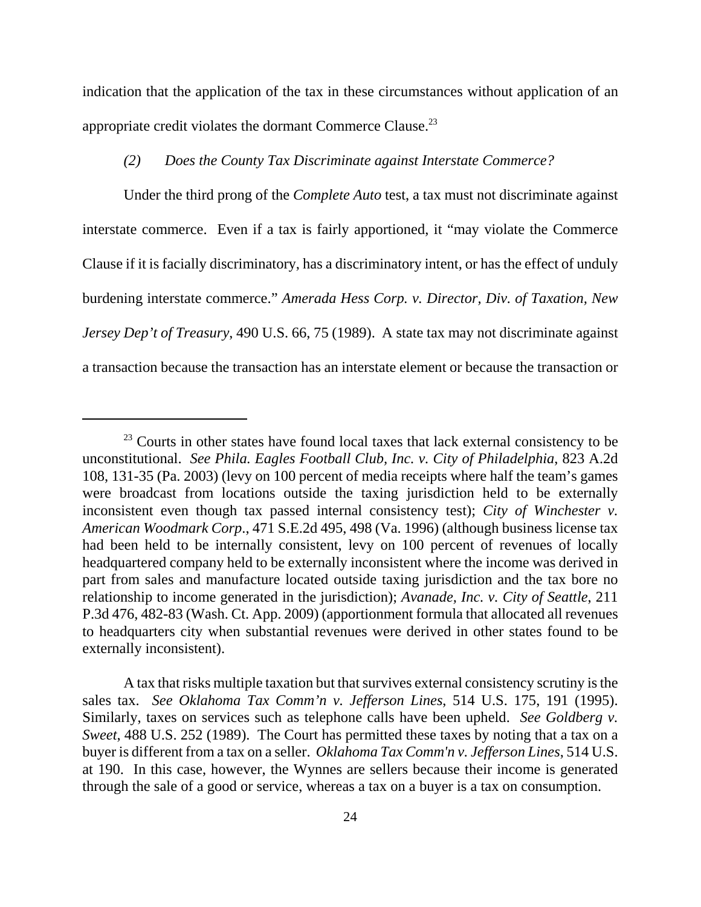indication that the application of the tax in these circumstances without application of an appropriate credit violates the dormant Commerce Clause.<sup>23</sup>

## *(2) Does the County Tax Discriminate against Interstate Commerce?*

Under the third prong of the *Complete Auto* test, a tax must not discriminate against interstate commerce. Even if a tax is fairly apportioned, it "may violate the Commerce Clause if it is facially discriminatory, has a discriminatory intent, or has the effect of unduly burdening interstate commerce." *Amerada Hess Corp. v. Director, Div. of Taxation, New Jersey Dep't of Treasury*, 490 U.S. 66, 75 (1989). A state tax may not discriminate against a transaction because the transaction has an interstate element or because the transaction or

<sup>&</sup>lt;sup>23</sup> Courts in other states have found local taxes that lack external consistency to be unconstitutional. *See Phila. Eagles Football Club, Inc. v. City of Philadelphia*, 823 A.2d 108, 131-35 (Pa. 2003) (levy on 100 percent of media receipts where half the team's games were broadcast from locations outside the taxing jurisdiction held to be externally inconsistent even though tax passed internal consistency test); *City of Winchester v. American Woodmark Corp*., 471 S.E.2d 495, 498 (Va. 1996) (although business license tax had been held to be internally consistent, levy on 100 percent of revenues of locally headquartered company held to be externally inconsistent where the income was derived in part from sales and manufacture located outside taxing jurisdiction and the tax bore no relationship to income generated in the jurisdiction); *Avanade, Inc. v. City of Seattle*, 211 P.3d 476, 482-83 (Wash. Ct. App. 2009) (apportionment formula that allocated all revenues to headquarters city when substantial revenues were derived in other states found to be externally inconsistent).

A tax that risks multiple taxation but that survives external consistency scrutiny is the sales tax. *See Oklahoma Tax Comm'n v. Jefferson Lines*, 514 U.S. 175, 191 (1995). Similarly, taxes on services such as telephone calls have been upheld. *See Goldberg v. Sweet*, 488 U.S. 252 (1989). The Court has permitted these taxes by noting that a tax on a buyer is different from a tax on a seller. *Oklahoma Tax Comm'n v. Jefferson Lines*, 514 U.S. at 190. In this case, however, the Wynnes are sellers because their income is generated through the sale of a good or service, whereas a tax on a buyer is a tax on consumption.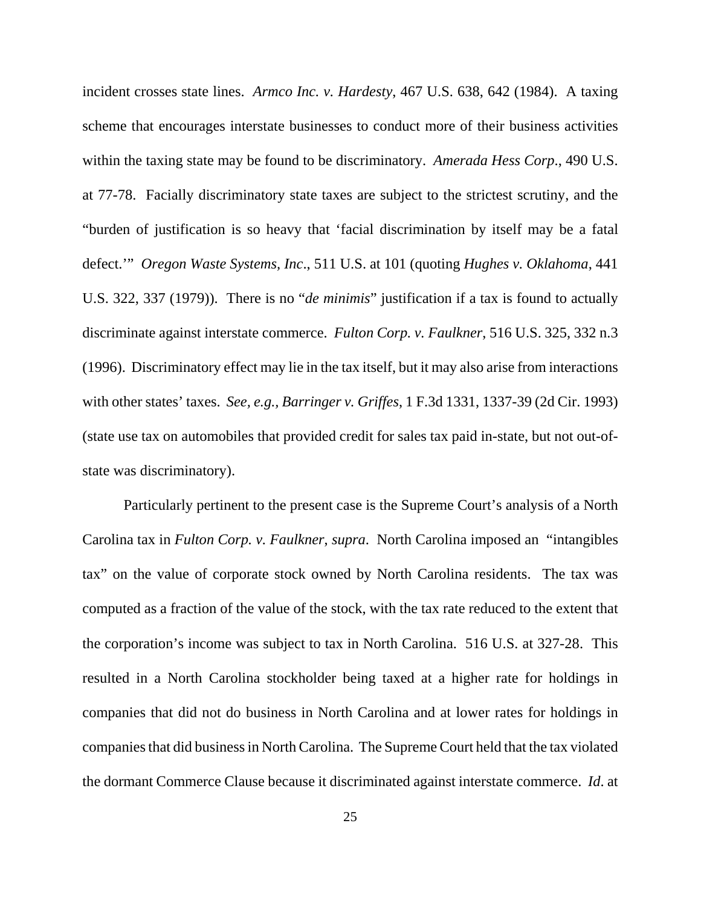incident crosses state lines. *Armco Inc. v. Hardesty*, 467 U.S. 638, 642 (1984). A taxing scheme that encourages interstate businesses to conduct more of their business activities within the taxing state may be found to be discriminatory. *Amerada Hess Corp*., 490 U.S. at 77-78. Facially discriminatory state taxes are subject to the strictest scrutiny, and the "burden of justification is so heavy that 'facial discrimination by itself may be a fatal defect.'" *Oregon Waste Systems, Inc*., 511 U.S. at 101 (quoting *Hughes v. Oklahoma*, 441 U.S. 322, 337 (1979)). There is no "*de minimis*" justification if a tax is found to actually discriminate against interstate commerce. *Fulton Corp. v. Faulkner*, 516 U.S. 325, 332 n.3 (1996). Discriminatory effect may lie in the tax itself, but it may also arise from interactions with other states' taxes. *See, e.g., Barringer v. Griffes*, 1 F.3d 1331, 1337-39 (2d Cir. 1993) (state use tax on automobiles that provided credit for sales tax paid in-state, but not out-ofstate was discriminatory).

Particularly pertinent to the present case is the Supreme Court's analysis of a North Carolina tax in *Fulton Corp. v. Faulkner*, *supra*. North Carolina imposed an "intangibles tax" on the value of corporate stock owned by North Carolina residents. The tax was computed as a fraction of the value of the stock, with the tax rate reduced to the extent that the corporation's income was subject to tax in North Carolina. 516 U.S. at 327-28. This resulted in a North Carolina stockholder being taxed at a higher rate for holdings in companies that did not do business in North Carolina and at lower rates for holdings in companies that did business in North Carolina. The Supreme Court held that the tax violated the dormant Commerce Clause because it discriminated against interstate commerce. *Id*. at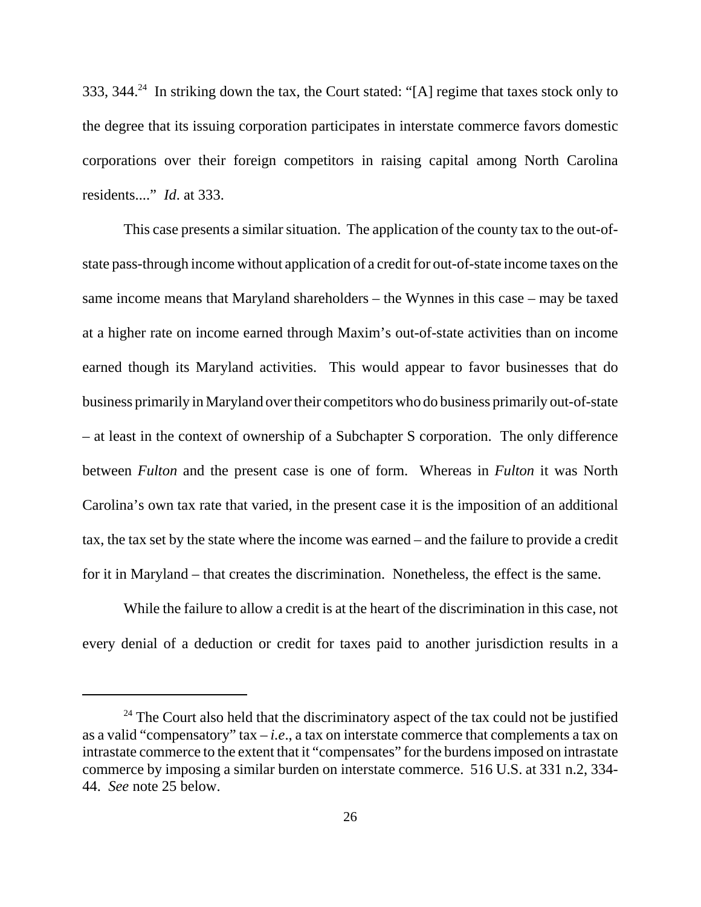333, 344. $^{24}$  In striking down the tax, the Court stated: "[A] regime that taxes stock only to the degree that its issuing corporation participates in interstate commerce favors domestic corporations over their foreign competitors in raising capital among North Carolina residents...." *Id*. at 333.

This case presents a similar situation. The application of the county tax to the out-ofstate pass-through income without application of a credit for out-of-state income taxes on the same income means that Maryland shareholders – the Wynnes in this case – may be taxed at a higher rate on income earned through Maxim's out-of-state activities than on income earned though its Maryland activities. This would appear to favor businesses that do business primarily in Maryland over their competitors who do business primarily out-of-state – at least in the context of ownership of a Subchapter S corporation. The only difference between *Fulton* and the present case is one of form. Whereas in *Fulton* it was North Carolina's own tax rate that varied, in the present case it is the imposition of an additional tax, the tax set by the state where the income was earned – and the failure to provide a credit for it in Maryland – that creates the discrimination. Nonetheless, the effect is the same.

While the failure to allow a credit is at the heart of the discrimination in this case, not every denial of a deduction or credit for taxes paid to another jurisdiction results in a

 $24$  The Court also held that the discriminatory aspect of the tax could not be justified as a valid "compensatory" tax – *i.e*., a tax on interstate commerce that complements a tax on intrastate commerce to the extent that it "compensates" for the burdens imposed on intrastate commerce by imposing a similar burden on interstate commerce. 516 U.S. at 331 n.2, 334- 44. *See* note 25 below.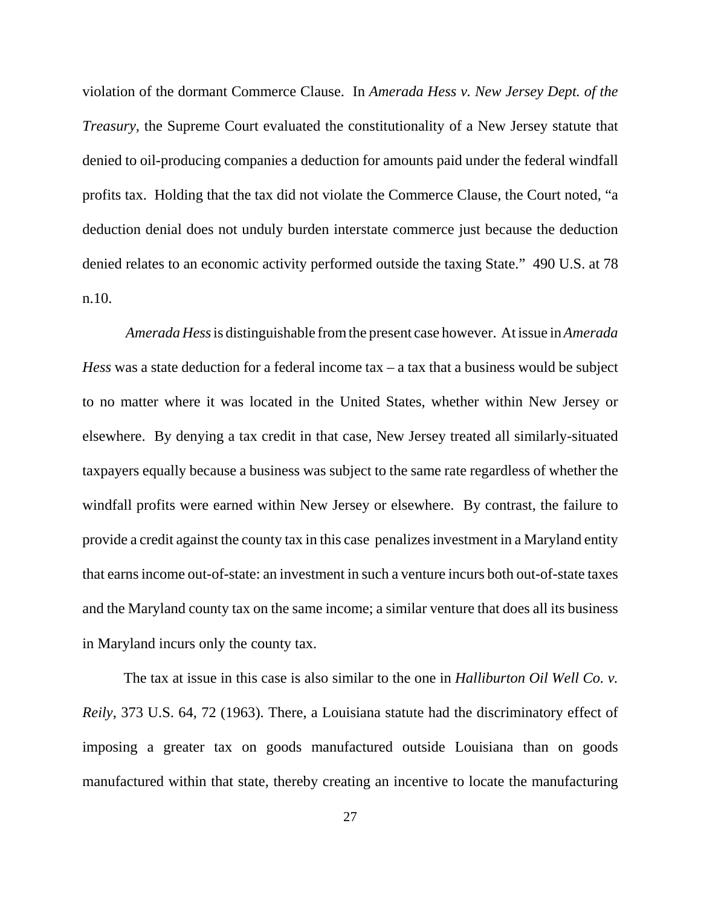violation of the dormant Commerce Clause. In *Amerada Hess v. New Jersey Dept. of the Treasury,* the Supreme Court evaluated the constitutionality of a New Jersey statute that denied to oil-producing companies a deduction for amounts paid under the federal windfall profits tax. Holding that the tax did not violate the Commerce Clause, the Court noted, "a deduction denial does not unduly burden interstate commerce just because the deduction denied relates to an economic activity performed outside the taxing State." 490 U.S. at 78 n.10.

*Amerada Hess* is distinguishable from the present case however. At issue in *Amerada Hess* was a state deduction for a federal income tax – a tax that a business would be subject to no matter where it was located in the United States, whether within New Jersey or elsewhere. By denying a tax credit in that case, New Jersey treated all similarly-situated taxpayers equally because a business was subject to the same rate regardless of whether the windfall profits were earned within New Jersey or elsewhere. By contrast, the failure to provide a credit against the county tax in this case penalizes investment in a Maryland entity that earns income out-of-state: an investment in such a venture incurs both out-of-state taxes and the Maryland county tax on the same income; a similar venture that does all its business in Maryland incurs only the county tax.

The tax at issue in this case is also similar to the one in *Halliburton Oil Well Co. v. Reily*, 373 U.S. 64, 72 (1963). There, a Louisiana statute had the discriminatory effect of imposing a greater tax on goods manufactured outside Louisiana than on goods manufactured within that state, thereby creating an incentive to locate the manufacturing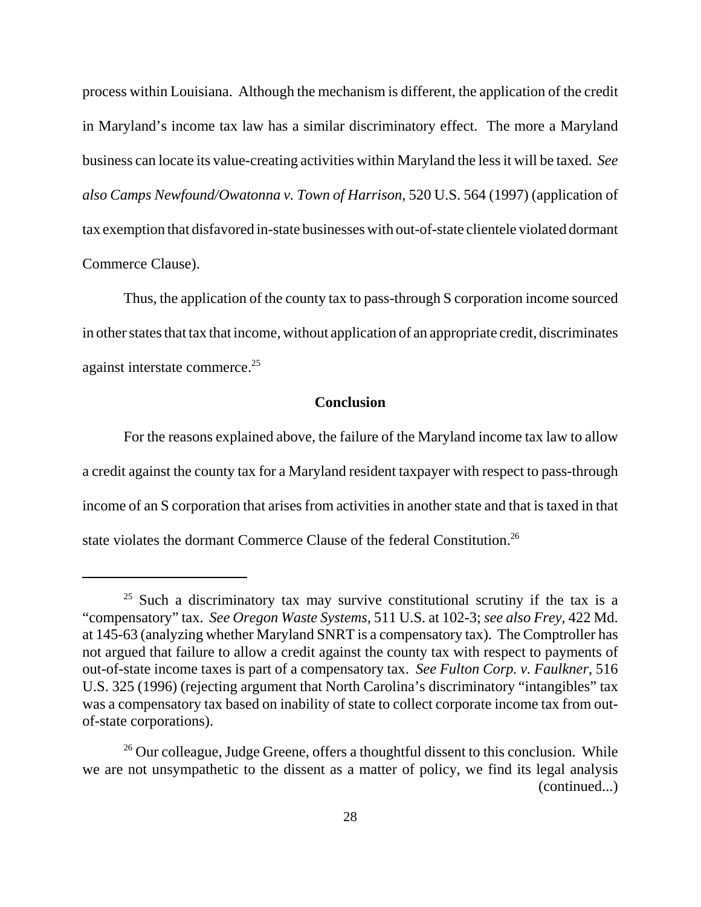process within Louisiana. Although the mechanism is different, the application of the credit in Maryland's income tax law has a similar discriminatory effect. The more a Maryland business can locate its value-creating activities within Maryland the less it will be taxed. *See also Camps Newfound/Owatonna v. Town of Harrison*, 520 U.S. 564 (1997) (application of tax exemption that disfavored in-state businesses with out-of-state clientele violated dormant Commerce Clause).

Thus, the application of the county tax to pass-through S corporation income sourced in other states that tax that income, without application of an appropriate credit, discriminates against interstate commerce.<sup>25</sup>

## **Conclusion**

For the reasons explained above, the failure of the Maryland income tax law to allow a credit against the county tax for a Maryland resident taxpayer with respect to pass-through income of an S corporation that arises from activities in another state and that is taxed in that state violates the dormant Commerce Clause of the federal Constitution.<sup>26</sup>

<sup>&</sup>lt;sup>25</sup> Such a discriminatory tax may survive constitutional scrutiny if the tax is a "compensatory" tax. *See Oregon Waste Systems,* 511 U.S. at 102-3; *see also Frey*, 422 Md. at 145-63 (analyzing whether Maryland SNRT is a compensatory tax). The Comptroller has not argued that failure to allow a credit against the county tax with respect to payments of out-of-state income taxes is part of a compensatory tax. *See Fulton Corp. v. Faulkner*, 516 U.S. 325 (1996) (rejecting argument that North Carolina's discriminatory "intangibles" tax was a compensatory tax based on inability of state to collect corporate income tax from outof-state corporations).

 $26$  Our colleague, Judge Greene, offers a thoughtful dissent to this conclusion. While we are not unsympathetic to the dissent as a matter of policy, we find its legal analysis (continued...)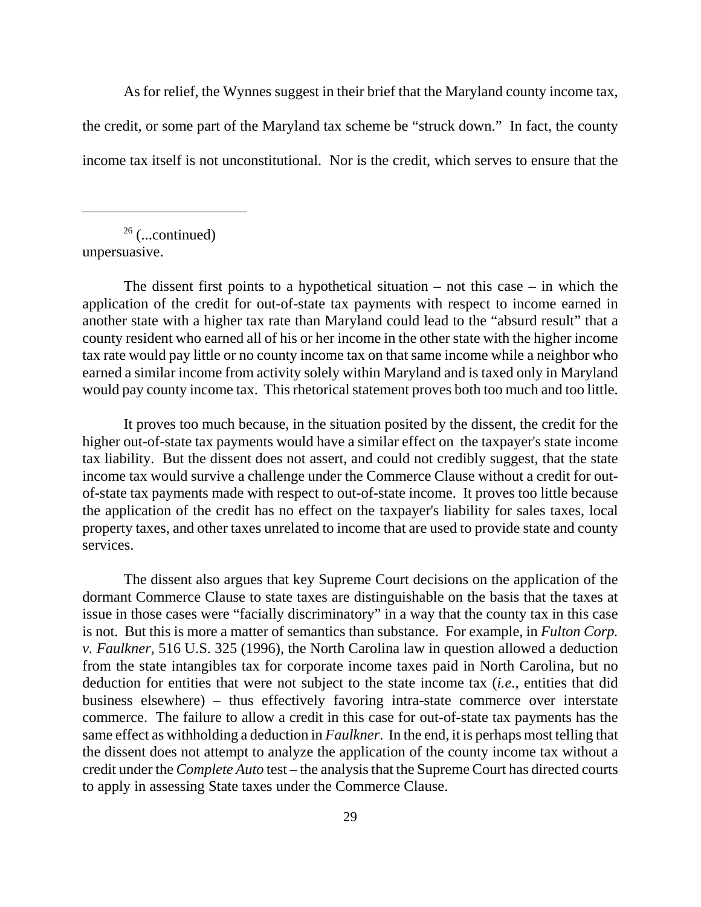As for relief, the Wynnes suggest in their brief that the Maryland county income tax, the credit, or some part of the Maryland tax scheme be "struck down." In fact, the county income tax itself is not unconstitutional. Nor is the credit, which serves to ensure that the

 $26$  (...continued) unpersuasive.

The dissent first points to a hypothetical situation – not this case – in which the application of the credit for out-of-state tax payments with respect to income earned in another state with a higher tax rate than Maryland could lead to the "absurd result" that a county resident who earned all of his or her income in the other state with the higher income tax rate would pay little or no county income tax on that same income while a neighbor who earned a similar income from activity solely within Maryland and is taxed only in Maryland would pay county income tax. This rhetorical statement proves both too much and too little.

It proves too much because, in the situation posited by the dissent, the credit for the higher out-of-state tax payments would have a similar effect on the taxpayer's state income tax liability. But the dissent does not assert, and could not credibly suggest, that the state income tax would survive a challenge under the Commerce Clause without a credit for outof-state tax payments made with respect to out-of-state income. It proves too little because the application of the credit has no effect on the taxpayer's liability for sales taxes, local property taxes, and other taxes unrelated to income that are used to provide state and county services.

The dissent also argues that key Supreme Court decisions on the application of the dormant Commerce Clause to state taxes are distinguishable on the basis that the taxes at issue in those cases were "facially discriminatory" in a way that the county tax in this case is not. But this is more a matter of semantics than substance. For example, in *Fulton Corp. v. Faulkner*, 516 U.S. 325 (1996), the North Carolina law in question allowed a deduction from the state intangibles tax for corporate income taxes paid in North Carolina, but no deduction for entities that were not subject to the state income tax (*i.e*., entities that did business elsewhere) – thus effectively favoring intra-state commerce over interstate commerce. The failure to allow a credit in this case for out-of-state tax payments has the same effect as withholding a deduction in *Faulkner*. In the end, it is perhaps most telling that the dissent does not attempt to analyze the application of the county income tax without a credit under the *Complete Auto* test – the analysis that the Supreme Court has directed courts to apply in assessing State taxes under the Commerce Clause.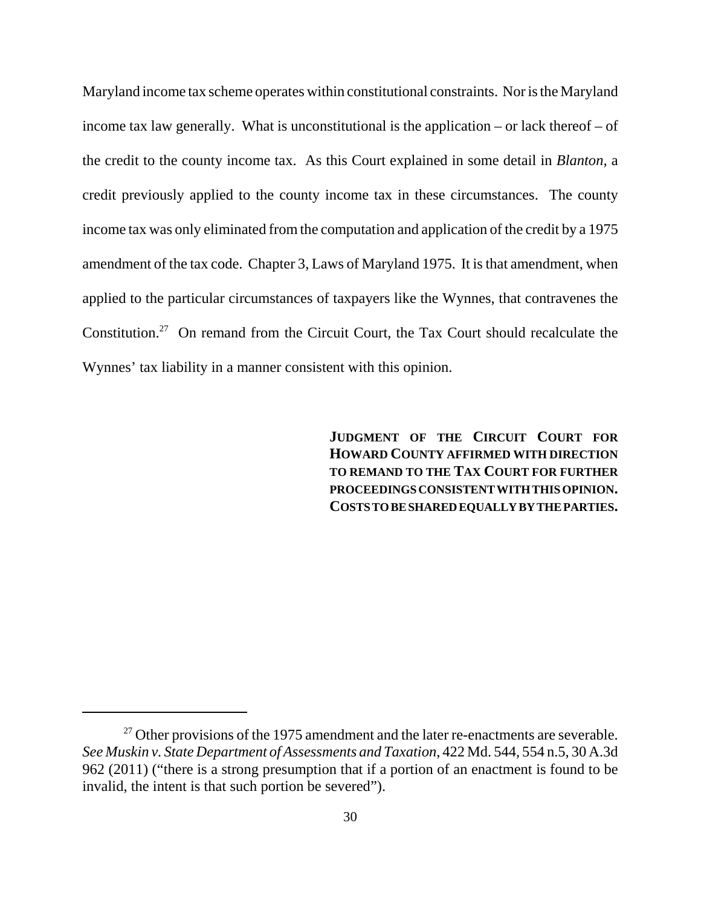Maryland income tax scheme operates within constitutional constraints. Nor is the Maryland income tax law generally. What is unconstitutional is the application – or lack thereof – of the credit to the county income tax. As this Court explained in some detail in *Blanton,* a credit previously applied to the county income tax in these circumstances. The county income tax was only eliminated from the computation and application of the credit by a 1975 amendment of the tax code. Chapter 3, Laws of Maryland 1975. It is that amendment, when applied to the particular circumstances of taxpayers like the Wynnes, that contravenes the Constitution.27 On remand from the Circuit Court, the Tax Court should recalculate the Wynnes' tax liability in a manner consistent with this opinion.

> **JUDGMENT OF THE CIRCUIT COURT FOR HOWARD COUNTY AFFIRMED WITH DIRECTION TO REMAND TO THE TAX COURT FOR FURTHER PROCEEDINGS CONSISTENT WITH THIS OPINION. COSTS TO BE SHARED EQUALLY BY THE PARTIES.**

 $27$  Other provisions of the 1975 amendment and the later re-enactments are severable. *See Muskin v. State Department of Assessments and Taxation*, 422 Md. 544, 554 n.5, 30 A.3d 962 (2011) ("there is a strong presumption that if a portion of an enactment is found to be invalid, the intent is that such portion be severed").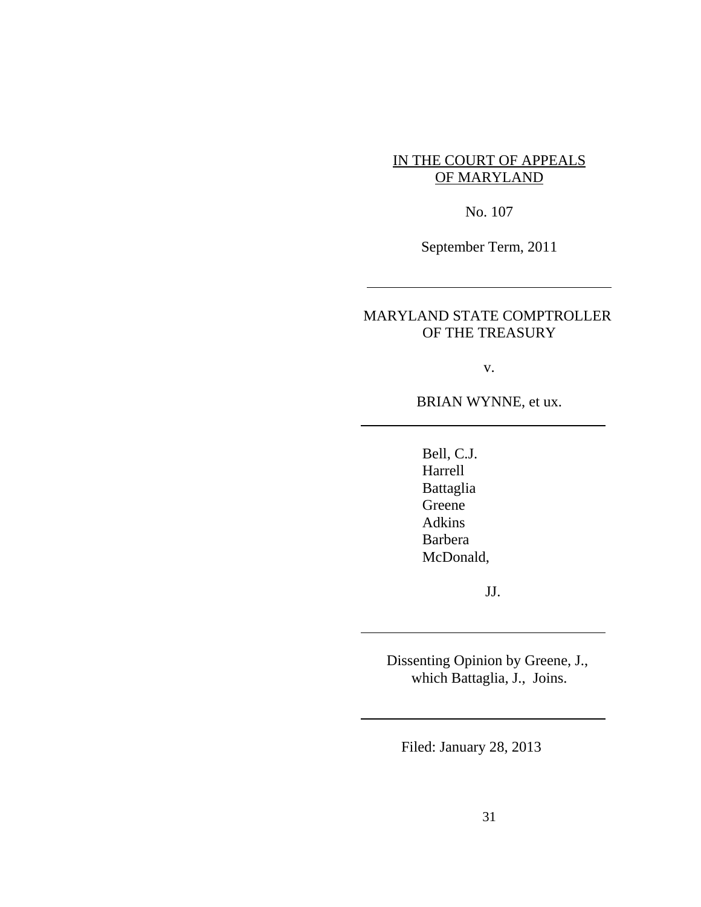# IN THE COURT OF APPEALS OF MARYLAND

No. 107

September Term, 2011

 $\ddot{\phantom{a}}$ 

 $\overline{a}$ 

 $\overline{a}$ 

 $\overline{a}$ 

# MARYLAND STATE COMPTROLLER OF THE TREASURY

v.

BRIAN WYNNE, et ux.

Bell, C.J. Harrell Battaglia Greene Adkins Barbera McDonald,

JJ.

Dissenting Opinion by Greene, J., which Battaglia, J., Joins.

Filed: January 28, 2013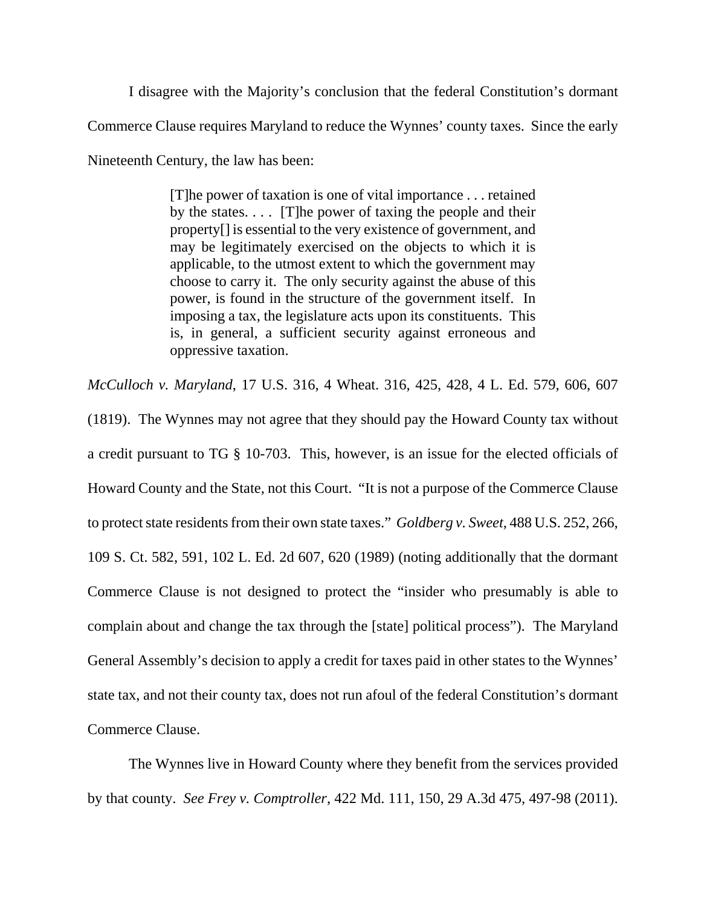I disagree with the Majority's conclusion that the federal Constitution's dormant Commerce Clause requires Maryland to reduce the Wynnes' county taxes. Since the early Nineteenth Century, the law has been:

> [T]he power of taxation is one of vital importance . . . retained by the states. . . . [T]he power of taxing the people and their property[] is essential to the very existence of government, and may be legitimately exercised on the objects to which it is applicable, to the utmost extent to which the government may choose to carry it. The only security against the abuse of this power, is found in the structure of the government itself. In imposing a tax, the legislature acts upon its constituents. This is, in general, a sufficient security against erroneous and oppressive taxation.

*McCulloch v. Maryland*, 17 U.S. 316, 4 Wheat. 316, 425, 428, 4 L. Ed. 579, 606, 607 (1819). The Wynnes may not agree that they should pay the Howard County tax without a credit pursuant to TG § 10-703. This, however, is an issue for the elected officials of Howard County and the State, not this Court. "It is not a purpose of the Commerce Clause to protect state residents from their own state taxes." *Goldberg v. Sweet*, 488 U.S. 252, 266, 109 S. Ct. 582, 591, 102 L. Ed. 2d 607, 620 (1989) (noting additionally that the dormant Commerce Clause is not designed to protect the "insider who presumably is able to complain about and change the tax through the [state] political process"). The Maryland General Assembly's decision to apply a credit for taxes paid in other states to the Wynnes' state tax, and not their county tax, does not run afoul of the federal Constitution's dormant Commerce Clause.

The Wynnes live in Howard County where they benefit from the services provided by that county. *See Frey v. Comptroller*, 422 Md. 111, 150, 29 A.3d 475, 497-98 (2011).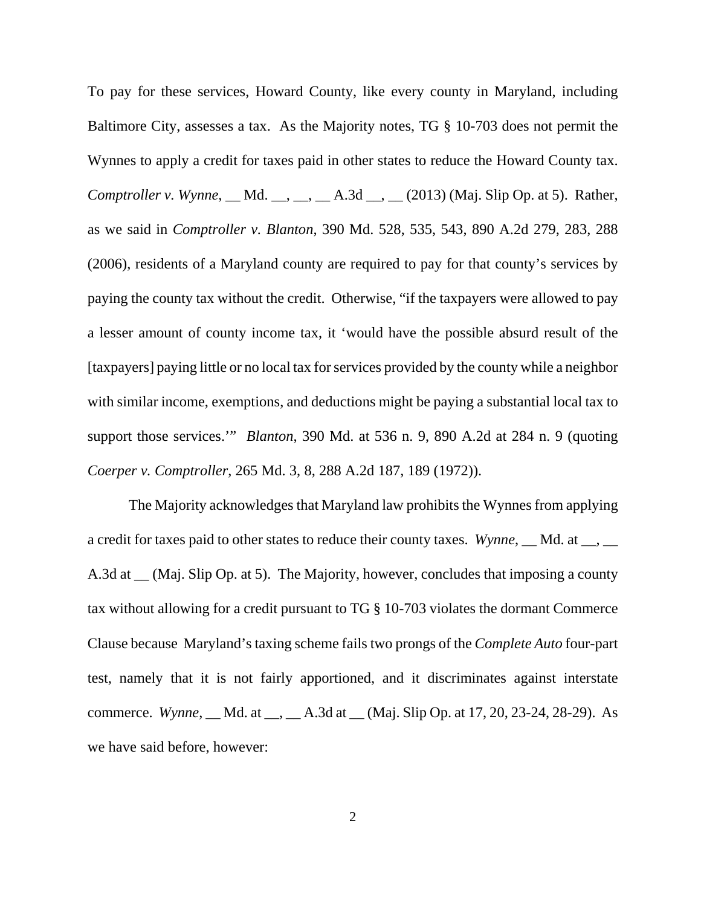To pay for these services, Howard County, like every county in Maryland, including Baltimore City, assesses a tax. As the Majority notes, TG § 10-703 does not permit the Wynnes to apply a credit for taxes paid in other states to reduce the Howard County tax. *Comptroller v. Wynne*, \_\_ Md. \_\_, \_\_, \_\_ A.3d \_\_, \_\_ (2013) (Maj. Slip Op. at 5). Rather, as we said in *Comptroller v. Blanton*, 390 Md. 528, 535, 543, 890 A.2d 279, 283, 288 (2006), residents of a Maryland county are required to pay for that county's services by paying the county tax without the credit. Otherwise, "if the taxpayers were allowed to pay a lesser amount of county income tax, it 'would have the possible absurd result of the [taxpayers] paying little or no local tax for services provided by the county while a neighbor with similar income, exemptions, and deductions might be paying a substantial local tax to support those services.'" *Blanton*, 390 Md. at 536 n. 9, 890 A.2d at 284 n. 9 (quoting *Coerper v. Comptroller*, 265 Md. 3, 8, 288 A.2d 187, 189 (1972)).

The Majority acknowledges that Maryland law prohibits the Wynnes from applying a credit for taxes paid to other states to reduce their county taxes. *Wynne*, \_\_ Md. at \_\_, \_\_ A.3d at \_\_ (Maj. Slip Op. at 5). The Majority, however, concludes that imposing a county tax without allowing for a credit pursuant to TG § 10-703 violates the dormant Commerce Clause because Maryland's taxing scheme fails two prongs of the *Complete Auto* four-part test, namely that it is not fairly apportioned, and it discriminates against interstate commerce. *Wynne*, \_\_ Md. at \_\_, \_\_ A.3d at \_\_ (Maj. Slip Op. at 17, 20, 23-24, 28-29). As we have said before, however: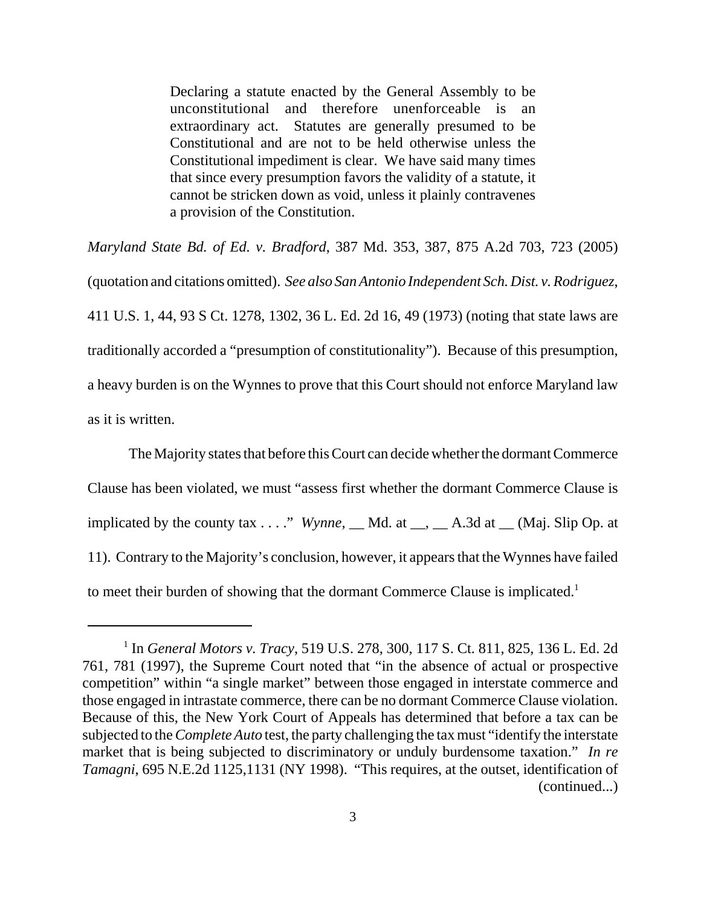Declaring a statute enacted by the General Assembly to be unconstitutional and therefore unenforceable is an extraordinary act. Statutes are generally presumed to be Constitutional and are not to be held otherwise unless the Constitutional impediment is clear. We have said many times that since every presumption favors the validity of a statute, it cannot be stricken down as void, unless it plainly contravenes a provision of the Constitution.

*Maryland State Bd. of Ed. v. Bradford*, 387 Md. 353, 387, 875 A.2d 703, 723 (2005) (quotation and citations omitted). *See also San Antonio Independent Sch. Dist. v. Rodriguez*, 411 U.S. 1, 44, 93 S Ct. 1278, 1302, 36 L. Ed. 2d 16, 49 (1973) (noting that state laws are traditionally accorded a "presumption of constitutionality"). Because of this presumption, a heavy burden is on the Wynnes to prove that this Court should not enforce Maryland law as it is written.

The Majority states that before this Court can decide whether the dormant Commerce Clause has been violated, we must "assess first whether the dormant Commerce Clause is implicated by the county tax . . . ." *Wynne*, \_\_ Md. at \_\_, \_\_ A.3d at \_\_ (Maj. Slip Op. at 11). Contrary to the Majority's conclusion, however, it appears that the Wynnes have failed to meet their burden of showing that the dormant Commerce Clause is implicated.<sup>1</sup>

<sup>1</sup> In *General Motors v. Tracy*, 519 U.S. 278, 300, 117 S. Ct. 811, 825, 136 L. Ed. 2d 761, 781 (1997), the Supreme Court noted that "in the absence of actual or prospective competition" within "a single market" between those engaged in interstate commerce and those engaged in intrastate commerce, there can be no dormant Commerce Clause violation. Because of this, the New York Court of Appeals has determined that before a tax can be subjected to the *Complete Auto* test, the party challenging the tax must "identify the interstate market that is being subjected to discriminatory or unduly burdensome taxation." *In re Tamagni*, 695 N.E.2d 1125,1131 (NY 1998). "This requires, at the outset, identification of (continued...)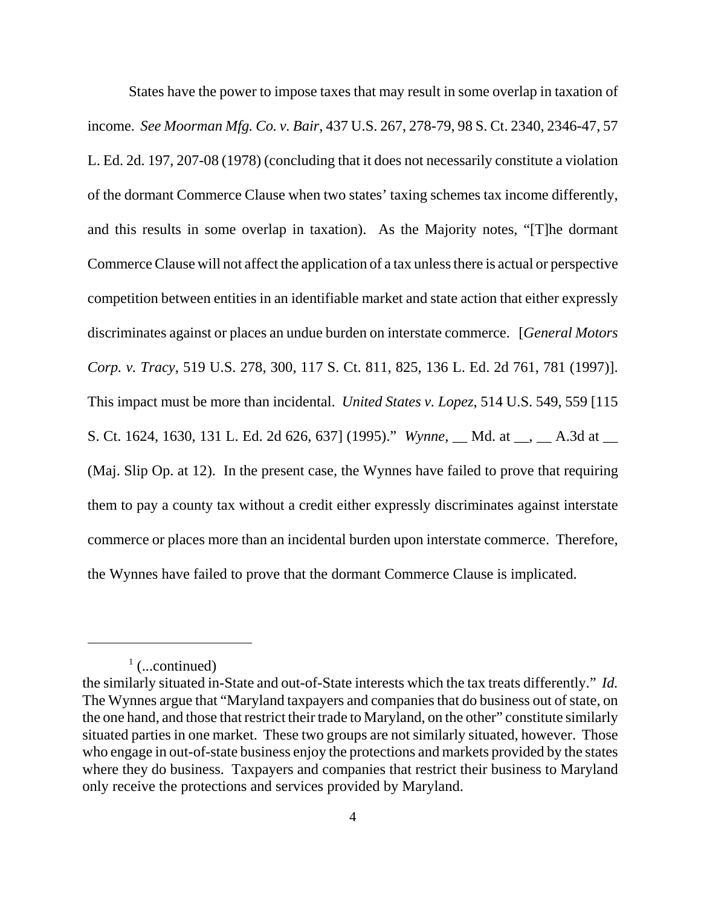States have the power to impose taxes that may result in some overlap in taxation of income. *See Moorman Mfg. Co. v. Bair*, 437 U.S. 267, 278-79, 98 S. Ct. 2340, 2346-47, 57 L. Ed. 2d. 197, 207-08 (1978) (concluding that it does not necessarily constitute a violation of the dormant Commerce Clause when two states' taxing schemes tax income differently, and this results in some overlap in taxation). As the Majority notes, "[T]he dormant Commerce Clause will not affect the application of a tax unless there is actual or perspective competition between entities in an identifiable market and state action that either expressly discriminates against or places an undue burden on interstate commerce. [*General Motors Corp. v. Tracy*, 519 U.S. 278, 300, 117 S. Ct. 811, 825, 136 L. Ed. 2d 761, 781 (1997)]. This impact must be more than incidental. *United States v. Lopez*, 514 U.S. 549, 559 [115 S. Ct. 1624, 1630, 131 L. Ed. 2d 626, 637] (1995)." *Wynne*, \_\_ Md. at \_\_, \_\_ A.3d at \_\_ (Maj. Slip Op. at 12). In the present case, the Wynnes have failed to prove that requiring them to pay a county tax without a credit either expressly discriminates against interstate commerce or places more than an incidental burden upon interstate commerce. Therefore, the Wynnes have failed to prove that the dormant Commerce Clause is implicated.

 $\frac{1}{1}$  (...continued)

the similarly situated in-State and out-of-State interests which the tax treats differently." *Id.* The Wynnes argue that "Maryland taxpayers and companies that do business out of state, on the one hand, and those that restrict their trade to Maryland, on the other" constitute similarly situated parties in one market. These two groups are not similarly situated, however. Those who engage in out-of-state business enjoy the protections and markets provided by the states where they do business. Taxpayers and companies that restrict their business to Maryland only receive the protections and services provided by Maryland.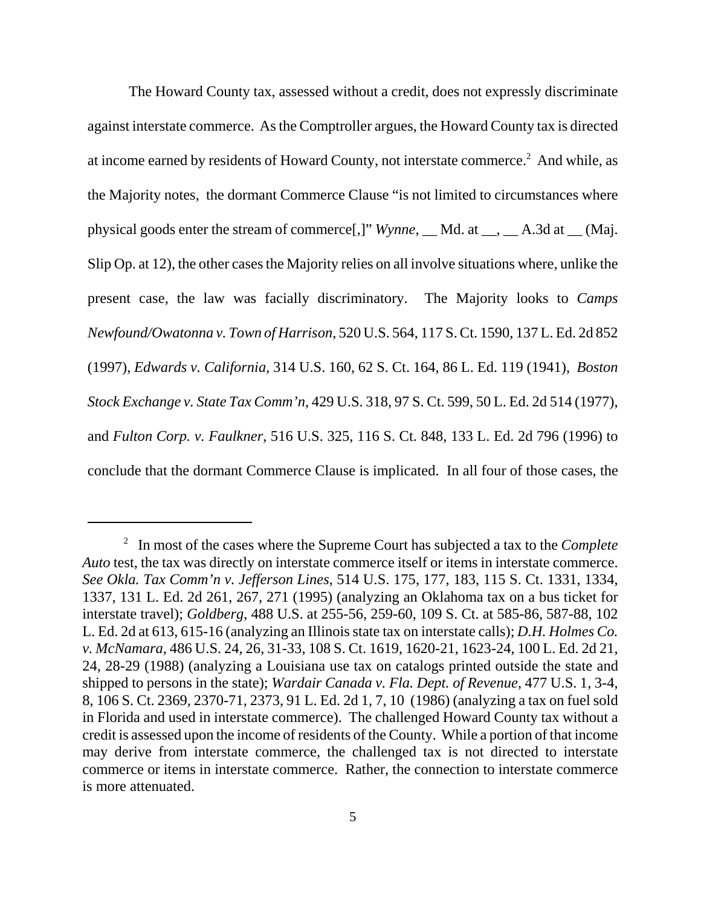The Howard County tax, assessed without a credit, does not expressly discriminate against interstate commerce. As the Comptroller argues, the Howard County tax is directed at income earned by residents of Howard County, not interstate commerce.<sup>2</sup> And while, as the Majority notes, the dormant Commerce Clause "is not limited to circumstances where physical goods enter the stream of commerce[,]" *Wynne*, \_\_ Md. at \_\_, \_\_ A.3d at \_\_ (Maj. Slip Op. at 12), the other cases the Majority relies on all involve situations where, unlike the present case, the law was facially discriminatory. The Majority looks to *Camps Newfound/Owatonna v. Town of Harrison*, 520 U.S. 564, 117 S. Ct. 1590, 137 L. Ed. 2d 852 (1997), *Edwards v. California*, 314 U.S. 160, 62 S. Ct. 164, 86 L. Ed. 119 (1941), *Boston Stock Exchange v. State Tax Comm'n*, 429 U.S. 318, 97 S. Ct. 599, 50 L. Ed. 2d 514 (1977), and *Fulton Corp. v. Faulkner*, 516 U.S. 325, 116 S. Ct. 848, 133 L. Ed. 2d 796 (1996) to conclude that the dormant Commerce Clause is implicated. In all four of those cases, the

<sup>2</sup> In most of the cases where the Supreme Court has subjected a tax to the *Complete Auto* test, the tax was directly on interstate commerce itself or items in interstate commerce. *See Okla. Tax Comm'n v. Jefferson Lines*, 514 U.S. 175, 177, 183, 115 S. Ct. 1331, 1334, 1337, 131 L. Ed. 2d 261, 267, 271 (1995) (analyzing an Oklahoma tax on a bus ticket for interstate travel); *Goldberg*, 488 U.S. at 255-56, 259-60, 109 S. Ct. at 585-86, 587-88, 102 L. Ed. 2d at 613, 615-16 (analyzing an Illinois state tax on interstate calls); *D.H. Holmes Co. v. McNamara*, 486 U.S. 24, 26, 31-33, 108 S. Ct. 1619, 1620-21, 1623-24, 100 L. Ed. 2d 21, 24, 28-29 (1988) (analyzing a Louisiana use tax on catalogs printed outside the state and shipped to persons in the state); *Wardair Canada v. Fla. Dept. of Revenue*, 477 U.S. 1, 3-4, 8, 106 S. Ct. 2369, 2370-71, 2373, 91 L. Ed. 2d 1, 7, 10 (1986) (analyzing a tax on fuel sold in Florida and used in interstate commerce). The challenged Howard County tax without a credit is assessed upon the income of residents of the County. While a portion of that income may derive from interstate commerce, the challenged tax is not directed to interstate commerce or items in interstate commerce. Rather, the connection to interstate commerce is more attenuated.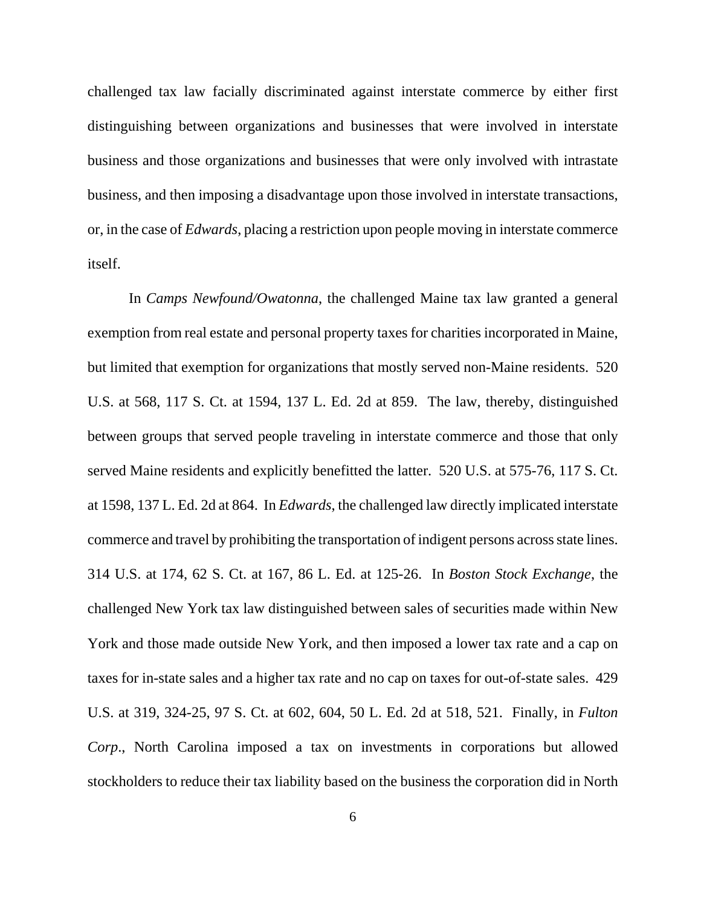challenged tax law facially discriminated against interstate commerce by either first distinguishing between organizations and businesses that were involved in interstate business and those organizations and businesses that were only involved with intrastate business, and then imposing a disadvantage upon those involved in interstate transactions, or, in the case of *Edwards*, placing a restriction upon people moving in interstate commerce itself.

In *Camps Newfound/Owatonna*, the challenged Maine tax law granted a general exemption from real estate and personal property taxes for charities incorporated in Maine, but limited that exemption for organizations that mostly served non-Maine residents. 520 U.S. at 568, 117 S. Ct. at 1594, 137 L. Ed. 2d at 859. The law, thereby, distinguished between groups that served people traveling in interstate commerce and those that only served Maine residents and explicitly benefitted the latter. 520 U.S. at 575-76, 117 S. Ct. at 1598, 137 L. Ed. 2d at 864. In *Edwards*, the challenged law directly implicated interstate commerce and travel by prohibiting the transportation of indigent persons across state lines. 314 U.S. at 174, 62 S. Ct. at 167, 86 L. Ed. at 125-26. In *Boston Stock Exchange*, the challenged New York tax law distinguished between sales of securities made within New York and those made outside New York, and then imposed a lower tax rate and a cap on taxes for in-state sales and a higher tax rate and no cap on taxes for out-of-state sales. 429 U.S. at 319, 324-25, 97 S. Ct. at 602, 604, 50 L. Ed. 2d at 518, 521. Finally, in *Fulton Corp*., North Carolina imposed a tax on investments in corporations but allowed stockholders to reduce their tax liability based on the business the corporation did in North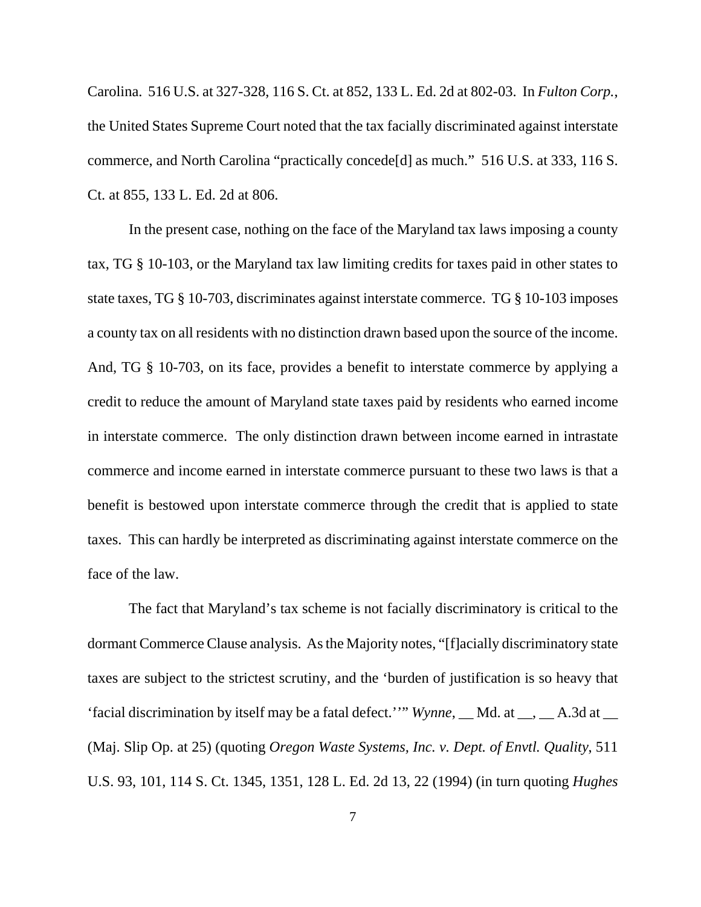Carolina. 516 U.S. at 327-328, 116 S. Ct. at 852, 133 L. Ed. 2d at 802-03. In *Fulton Corp.*, the United States Supreme Court noted that the tax facially discriminated against interstate commerce, and North Carolina "practically concede[d] as much." 516 U.S. at 333, 116 S. Ct. at 855, 133 L. Ed. 2d at 806.

In the present case, nothing on the face of the Maryland tax laws imposing a county tax, TG § 10-103, or the Maryland tax law limiting credits for taxes paid in other states to state taxes, TG § 10-703, discriminates against interstate commerce. TG § 10-103 imposes a county tax on all residents with no distinction drawn based upon the source of the income. And, TG § 10-703, on its face, provides a benefit to interstate commerce by applying a credit to reduce the amount of Maryland state taxes paid by residents who earned income in interstate commerce. The only distinction drawn between income earned in intrastate commerce and income earned in interstate commerce pursuant to these two laws is that a benefit is bestowed upon interstate commerce through the credit that is applied to state taxes. This can hardly be interpreted as discriminating against interstate commerce on the face of the law.

The fact that Maryland's tax scheme is not facially discriminatory is critical to the dormant Commerce Clause analysis. As the Majority notes, "[f]acially discriminatory state taxes are subject to the strictest scrutiny, and the 'burden of justification is so heavy that 'facial discrimination by itself may be a fatal defect.''" *Wynne*, \_\_ Md. at \_\_, \_\_ A.3d at \_\_ (Maj. Slip Op. at 25) (quoting *Oregon Waste Systems, Inc. v. Dept. of Envtl. Quality*, 511 U.S. 93, 101, 114 S. Ct. 1345, 1351, 128 L. Ed. 2d 13, 22 (1994) (in turn quoting *Hughes*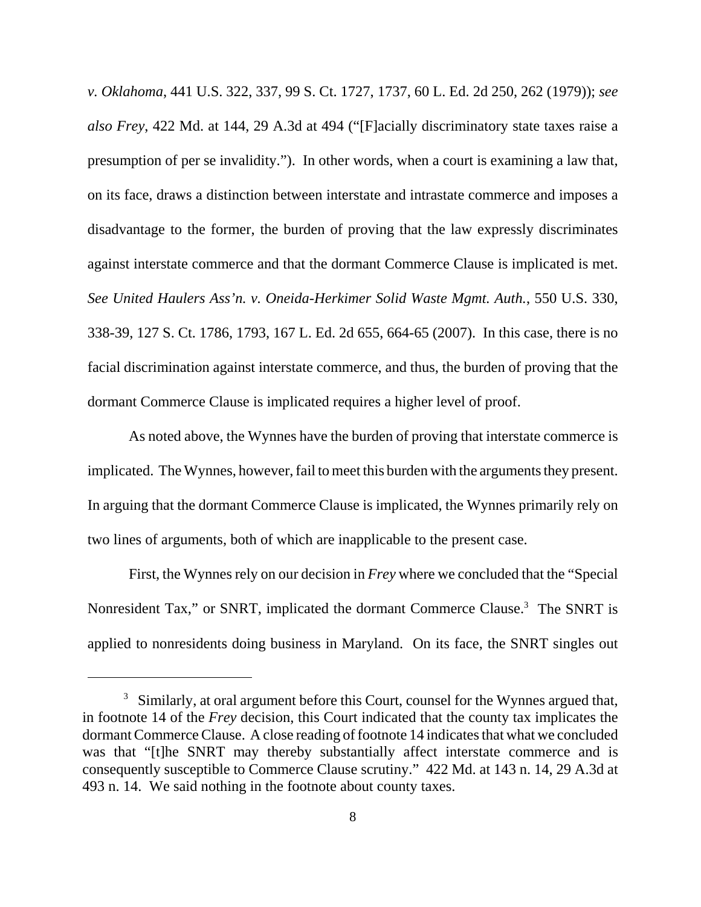*v. Oklahoma*, 441 U.S. 322, 337, 99 S. Ct. 1727, 1737, 60 L. Ed. 2d 250, 262 (1979)); *see also Frey*, 422 Md. at 144, 29 A.3d at 494 ("[F]acially discriminatory state taxes raise a presumption of per se invalidity."). In other words, when a court is examining a law that, on its face, draws a distinction between interstate and intrastate commerce and imposes a disadvantage to the former, the burden of proving that the law expressly discriminates against interstate commerce and that the dormant Commerce Clause is implicated is met. *See United Haulers Ass'n. v. Oneida-Herkimer Solid Waste Mgmt. Auth.*, 550 U.S. 330, 338-39, 127 S. Ct. 1786, 1793, 167 L. Ed. 2d 655, 664-65 (2007). In this case, there is no facial discrimination against interstate commerce, and thus, the burden of proving that the dormant Commerce Clause is implicated requires a higher level of proof.

As noted above, the Wynnes have the burden of proving that interstate commerce is implicated. The Wynnes, however, fail to meet this burden with the arguments they present. In arguing that the dormant Commerce Clause is implicated, the Wynnes primarily rely on two lines of arguments, both of which are inapplicable to the present case.

First, the Wynnes rely on our decision in *Frey* where we concluded that the "Special Nonresident Tax," or SNRT, implicated the dormant Commerce Clause.<sup>3</sup> The SNRT is applied to nonresidents doing business in Maryland. On its face, the SNRT singles out

<sup>&</sup>lt;sup>3</sup> Similarly, at oral argument before this Court, counsel for the Wynnes argued that, in footnote 14 of the *Frey* decision, this Court indicated that the county tax implicates the dormant Commerce Clause. A close reading of footnote 14 indicates that what we concluded was that "[t]he SNRT may thereby substantially affect interstate commerce and is consequently susceptible to Commerce Clause scrutiny." 422 Md. at 143 n. 14, 29 A.3d at 493 n. 14. We said nothing in the footnote about county taxes.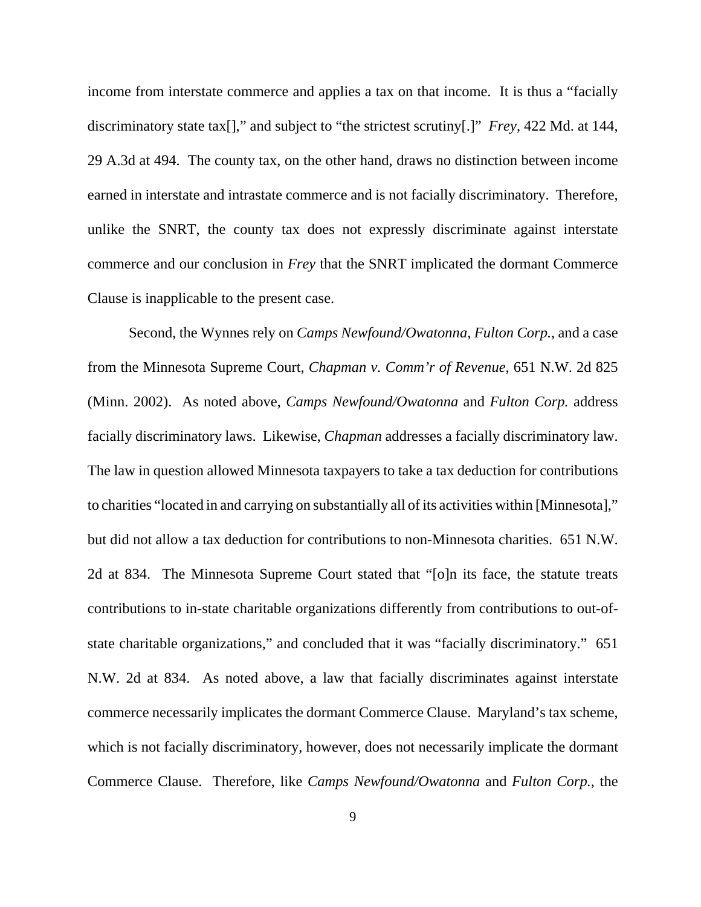income from interstate commerce and applies a tax on that income. It is thus a "facially discriminatory state tax[]," and subject to "the strictest scrutiny[.]" *Frey*, 422 Md. at 144, 29 A.3d at 494. The county tax, on the other hand, draws no distinction between income earned in interstate and intrastate commerce and is not facially discriminatory. Therefore, unlike the SNRT, the county tax does not expressly discriminate against interstate commerce and our conclusion in *Frey* that the SNRT implicated the dormant Commerce Clause is inapplicable to the present case.

Second, the Wynnes rely on *Camps Newfound/Owatonna*, *Fulton Corp.*, and a case from the Minnesota Supreme Court, *Chapman v. Comm'r of Revenue*, 651 N.W. 2d 825 (Minn. 2002). As noted above, *Camps Newfound/Owatonna* and *Fulton Corp.* address facially discriminatory laws. Likewise, *Chapman* addresses a facially discriminatory law. The law in question allowed Minnesota taxpayers to take a tax deduction for contributions to charities "located in and carrying on substantially all of its activities within [Minnesota]," but did not allow a tax deduction for contributions to non-Minnesota charities. 651 N.W. 2d at 834. The Minnesota Supreme Court stated that "[o]n its face, the statute treats contributions to in-state charitable organizations differently from contributions to out-ofstate charitable organizations," and concluded that it was "facially discriminatory." 651 N.W. 2d at 834. As noted above, a law that facially discriminates against interstate commerce necessarily implicates the dormant Commerce Clause. Maryland's tax scheme, which is not facially discriminatory, however, does not necessarily implicate the dormant Commerce Clause. Therefore, like *Camps Newfound/Owatonna* and *Fulton Corp.*, the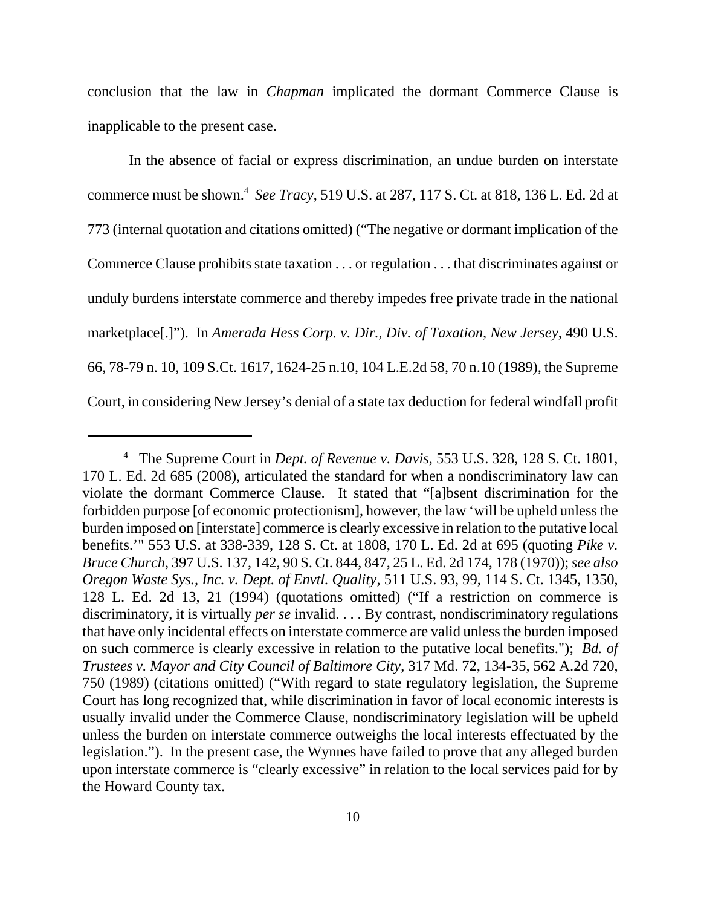conclusion that the law in *Chapman* implicated the dormant Commerce Clause is inapplicable to the present case.

In the absence of facial or express discrimination, an undue burden on interstate commerce must be shown.4 *See Tracy*, 519 U.S. at 287, 117 S. Ct. at 818, 136 L. Ed. 2d at 773 (internal quotation and citations omitted) ("The negative or dormant implication of the Commerce Clause prohibits state taxation . . . or regulation . . . that discriminates against or unduly burdens interstate commerce and thereby impedes free private trade in the national marketplace[.]"). In *Amerada Hess Corp. v. Dir., Div. of Taxation, New Jersey*, 490 U.S. 66, 78-79 n. 10, 109 S.Ct. 1617, 1624-25 n.10, 104 L.E.2d 58, 70 n.10 (1989), the Supreme Court, in considering New Jersey's denial of a state tax deduction for federal windfall profit

<sup>4</sup> The Supreme Court in *Dept. of Revenue v. Davis*, 553 U.S. 328, 128 S. Ct. 1801, 170 L. Ed. 2d 685 (2008), articulated the standard for when a nondiscriminatory law can violate the dormant Commerce Clause. It stated that "[a]bsent discrimination for the forbidden purpose [of economic protectionism], however, the law 'will be upheld unless the burden imposed on [interstate] commerce is clearly excessive in relation to the putative local benefits.'" 553 U.S. at 338-339, 128 S. Ct. at 1808, 170 L. Ed. 2d at 695 (quoting *Pike v. Bruce Church*, 397 U.S. 137, 142, 90 S. Ct. 844, 847, 25 L. Ed. 2d 174, 178 (1970)); *see also Oregon Waste Sys., Inc. v. Dept. of Envtl. Quality*, 511 U.S. 93, 99, 114 S. Ct. 1345, 1350, 128 L. Ed. 2d 13, 21 (1994) (quotations omitted) ("If a restriction on commerce is discriminatory, it is virtually *per se* invalid. . . . By contrast, nondiscriminatory regulations that have only incidental effects on interstate commerce are valid unless the burden imposed on such commerce is clearly excessive in relation to the putative local benefits."); *Bd. of Trustees v. Mayor and City Council of Baltimore City*, 317 Md. 72, 134-35, 562 A.2d 720, 750 (1989) (citations omitted) ("With regard to state regulatory legislation, the Supreme Court has long recognized that, while discrimination in favor of local economic interests is usually invalid under the Commerce Clause, nondiscriminatory legislation will be upheld unless the burden on interstate commerce outweighs the local interests effectuated by the legislation."). In the present case, the Wynnes have failed to prove that any alleged burden upon interstate commerce is "clearly excessive" in relation to the local services paid for by the Howard County tax.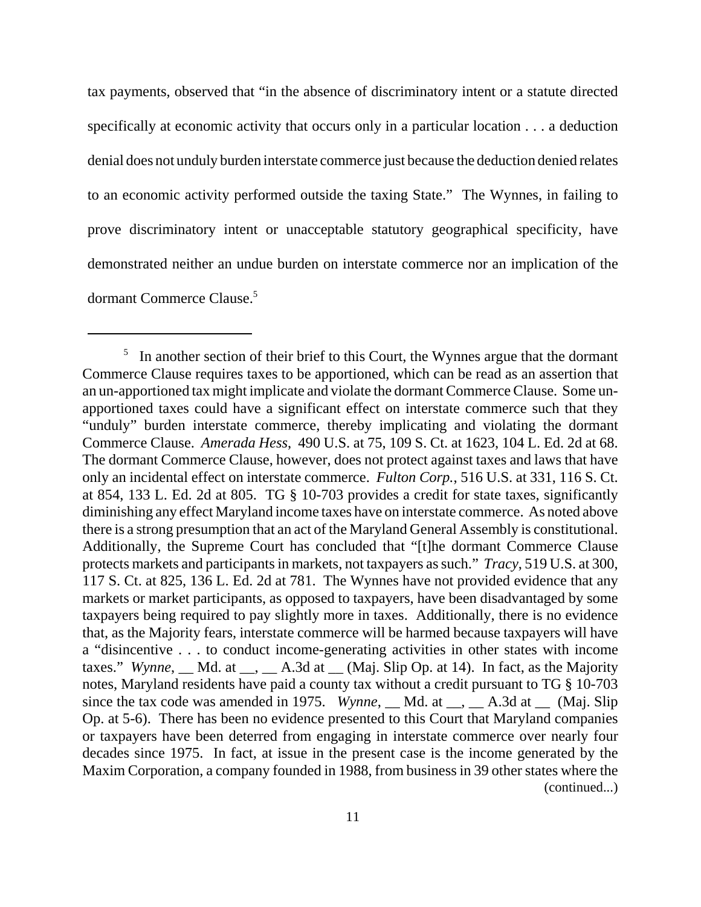tax payments, observed that "in the absence of discriminatory intent or a statute directed specifically at economic activity that occurs only in a particular location . . . a deduction denial does not unduly burden interstate commerce just because the deduction denied relates to an economic activity performed outside the taxing State." The Wynnes, in failing to prove discriminatory intent or unacceptable statutory geographical specificity, have demonstrated neither an undue burden on interstate commerce nor an implication of the dormant Commerce Clause.5

<sup>&</sup>lt;sup>5</sup> In another section of their brief to this Court, the Wynnes argue that the dormant Commerce Clause requires taxes to be apportioned, which can be read as an assertion that an un-apportioned tax might implicate and violate the dormant Commerce Clause. Some unapportioned taxes could have a significant effect on interstate commerce such that they "unduly" burden interstate commerce, thereby implicating and violating the dormant Commerce Clause. *Amerada Hess*, 490 U.S. at 75, 109 S. Ct. at 1623, 104 L. Ed. 2d at 68. The dormant Commerce Clause, however, does not protect against taxes and laws that have only an incidental effect on interstate commerce. *Fulton Corp.*, 516 U.S. at 331, 116 S. Ct. at 854, 133 L. Ed. 2d at 805. TG § 10-703 provides a credit for state taxes, significantly diminishing any effect Maryland income taxes have on interstate commerce. As noted above there is a strong presumption that an act of the Maryland General Assembly is constitutional. Additionally, the Supreme Court has concluded that "[t]he dormant Commerce Clause protects markets and participants in markets, not taxpayers as such." *Tracy*, 519 U.S. at 300, 117 S. Ct. at 825, 136 L. Ed. 2d at 781. The Wynnes have not provided evidence that any markets or market participants, as opposed to taxpayers, have been disadvantaged by some taxpayers being required to pay slightly more in taxes. Additionally, there is no evidence that, as the Majority fears, interstate commerce will be harmed because taxpayers will have a "disincentive . . . to conduct income-generating activities in other states with income taxes." *Wynne*, \_\_ Md. at \_\_, \_\_ A.3d at \_\_ (Maj. Slip Op. at 14). In fact, as the Majority notes, Maryland residents have paid a county tax without a credit pursuant to TG § 10-703 since the tax code was amended in 1975. *Wynne*, Md. at  $\Box$ , A.3d at  $\Box$  (Maj. Slip Op. at 5-6). There has been no evidence presented to this Court that Maryland companies or taxpayers have been deterred from engaging in interstate commerce over nearly four decades since 1975. In fact, at issue in the present case is the income generated by the Maxim Corporation, a company founded in 1988, from business in 39 other states where the (continued...)